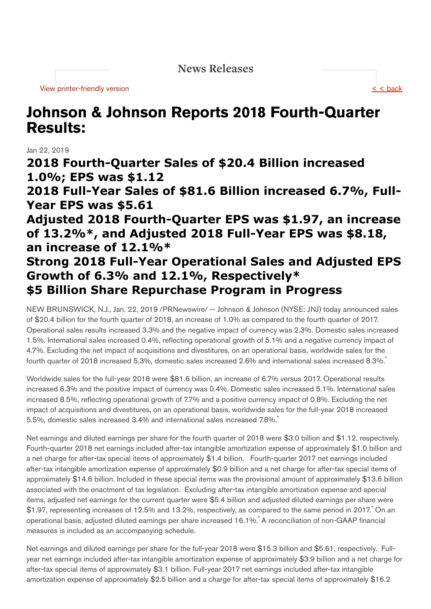**News Releases**

View printer-friendly version  $\leq$  5 ack

# **Johnson & Johnson Reports 2018 Fourth-Quarter Results:**

Jan 22, 2019

**2018 Fourth-Quarter Sales of \$20.4 Billion increased 1.0%; EPS was \$1.12**

**2018 Full-Year Sales of \$81.6 Billion increased 6.7%, Full-Year EPS was \$5.61**

# **Adjusted 2018 Fourth-Quarter EPS was \$1.97, an increase of 13.2%\*, and Adjusted 2018 Full-Year EPS was \$8.18, an increase of 12.1%\* Strong 2018 Full-Year Operational Sales and Adjusted EPS Growth of 6.3% and 12.1%, Respectively\* \$5 Billion Share Repurchase Program in Progress**

NEW BRUNSWICK, N.J., Jan. 22, 2019 /PRNewswire/ -- Johnson & Johnson (NYSE: JNJ) today announced sales of \$20.4 billion for the fourth quarter of 2018, an increase of 1.0% as compared to the fourth quarter of 2017. Operational sales results increased 3.3% and the negative impact of currency was 2.3%. Domestic sales increased 1.5%. International sales increased 0.4%, reflecting operational growth of 5.1% and a negative currency impact of 4.7%. Excluding the net impact of acquisitions and divestitures, on an operational basis, worldwide sales for the fourth quarter of 2018 increased 5.3%, domestic sales increased 2.6% and international sales increased 8.3%. M

Worldwide sales for the full-year 2018 were \$81.6 billion, an increase of 6.7% versus 2017. Operational results increased 6.3% and the positive impact of currency was 0.4%. Domestic sales increased 5.1%. International sales increased 8.5%, reflecting operational growth of 7.7% and a positive currency impact of 0.8%. Excluding the net impact of acquisitions and divestitures, on an operational basis, worldwide sales for the full-year 2018 increased 5.5%, domestic sales increased 3.4% and international sales increased 7.8%. \*

Net earnings and diluted earnings per share for the fourth quarter of 2018 were \$3.0 billion and \$1.12, respectively. Fourth-quarter 2018 net earnings included after-tax intangible amortization expense of approximately \$1.0 billion and a net charge for after-tax special items of approximately \$1.4 billion. Fourth-quarter 2017 net earnings included after-tax intangible amortization expense of approximately \$0.9 billion and a net charge for after-tax special items of approximately \$14.6 billion. Included in these special items was the provisional amount of approximately \$13.6 billion associated with the enactment of tax legislation. Excluding after-tax intangible amortization expense and special items, adjusted net earnings for the current quarter were \$5.4 billion and adjusted diluted earnings per share were \$1.97, representing increases of 12.5% and 13.2%, respectively, as compared to the same period in 2017. On an operational basis, adjusted diluted earnings per share increased 16.1%.<sup>\*</sup> A reconciliation of non-GAAP financial measures is included as an accompanying schedule.

Net earnings and diluted earnings per share for the full-year 2018 were \$15.3 billion and \$5.61, respectively. Fullyear net earnings included after-tax intangible amortization expense of approximately \$3.9 billion and a net charge for after-tax special items of approximately \$3.1 billion. Full-year 2017 net earnings included after-tax intangible amortization expense of approximately \$2.5 billion and a charge for after-tax special items of approximately \$16.2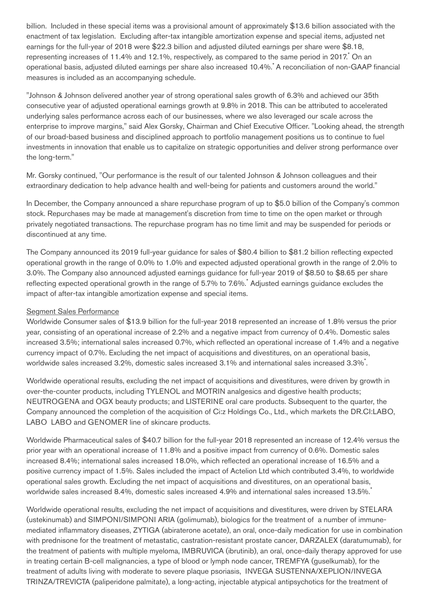billion. Included in these special items was a provisional amount of approximately \$13.6 billion associated with the enactment of tax legislation. Excluding after-tax intangible amortization expense and special items, adjusted net earnings for the full-year of 2018 were \$22.3 billion and adjusted diluted earnings per share were \$8.18, representing increases of 11.4% and 12.1%, respectively, as compared to the same period in 2017. On an operational basis, adjusted diluted earnings per share also increased 10.4%. A reconciliation of non-GAAP financial measures is included as an accompanying schedule.

"Johnson & Johnson delivered another year of strong operational sales growth of 6.3% and achieved our 35th consecutive year of adjusted operational earnings growth at 9.8% in 2018. This can be attributed to accelerated underlying sales performance across each of our businesses, where we also leveraged our scale across the enterprise to improve margins," said Alex Gorsky, Chairman and Chief Executive Officer. "Looking ahead, the strength of our broad-based business and disciplined approach to portfolio management positions us to continue to fuel investments in innovation that enable us to capitalize on strategic opportunities and deliver strong performance over the long-term."

Mr. Gorsky continued, "Our performance is the result of our talented Johnson & Johnson colleagues and their extraordinary dedication to help advance health and well-being for patients and customers around the world."

In December, the Company announced a share repurchase program of up to \$5.0 billion of the Company's common stock. Repurchases may be made at management's discretion from time to time on the open market or through privately negotiated transactions. The repurchase program has no time limit and may be suspended for periods or discontinued at any time.

The Company announced its 2019 full-year guidance for sales of \$80.4 billion to \$81.2 billion reflecting expected operational growth in the range of 0.0% to 1.0% and expected adjusted operational growth in the range of 2.0% to 3.0%. The Company also announced adjusted earnings guidance for full-year 2019 of \$8.50 to \$8.65 per share reflecting expected operational growth in the range of 5.7% to 7.6%. Adjusted earnings guidance excludes the impact of after-tax intangible amortization expense and special items.

## Segment Sales Performance

Worldwide Consumer sales of \$13.9 billion for the full-year 2018 represented an increase of 1.8% versus the prior year, consisting of an operational increase of 2.2% and a negative impact from currency of 0.4%. Domestic sales increased 3.5%; international sales increased 0.7%, which reflected an operational increase of 1.4% and a negative currency impact of 0.7%. Excluding the net impact of acquisitions and divestitures, on an operational basis, worldwide sales increased 3.2%, domestic sales increased 3.1% and international sales increased 3.3%<sup>\*</sup>.

Worldwide operational results, excluding the net impact of acquisitions and divestitures, were driven by growth in over-the-counter products, including TYLENOL and MOTRIN analgesics and digestive health products; NEUTROGENA and OGX beauty products; and LISTERINE oral care products. Subsequent to the quarter, the Company announced the completion of the acquisition of Ci:z Holdings Co., Ltd., which markets the DR.CI:LABO, LABO LABO and GENOMER line of skincare products.

Worldwide Pharmaceutical sales of \$40.7 billion for the full-year 2018 represented an increase of 12.4% versus the prior year with an operational increase of 11.8% and a positive impact from currency of 0.6%. Domestic sales increased 8.4%; international sales increased 18.0%, which reflected an operational increase of 16.5% and a positive currency impact of 1.5%. Sales included the impact of Actelion Ltd which contributed 3.4%, to worldwide operational sales growth. Excluding the net impact of acquisitions and divestitures, on an operational basis, worldwide sales increased 8.4%, domestic sales increased 4.9% and international sales increased 13.5%. \*

Worldwide operational results, excluding the net impact of acquisitions and divestitures, were driven by STELARA (ustekinumab) and SIMPONI/SIMPONI ARIA (golimumab), biologics for the treatment of a number of immunemediated inflammatory diseases, ZYTIGA (abiraterone acetate), an oral, once-daily medication for use in combination with prednisone for the treatment of metastatic, castration-resistant prostate cancer, DARZALEX (daratumumab), for the treatment of patients with multiple myeloma, IMBRUVICA (ibrutinib), an oral, once-daily therapy approved for use in treating certain B-cell malignancies, a type of blood or lymph node cancer, TREMFYA (guselkumab), for the treatment of adults living with moderate to severe plaque psoriasis, INVEGA SUSTENNA/XEPLION/INVEGA TRINZA/TREVICTA (paliperidone palmitate), a long-acting, injectable atypical antipsychotics for the treatment of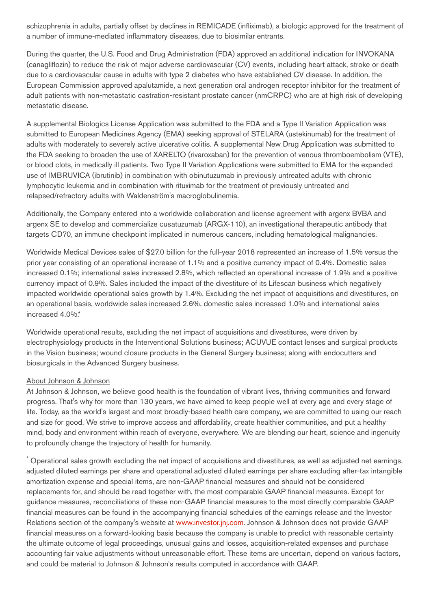schizophrenia in adults, partially offset by declines in REMICADE (infliximab), a biologic approved for the treatment of a number of immune-mediated inflammatory diseases, due to biosimilar entrants.

During the quarter, the U.S. Food and Drug Administration (FDA) approved an additional indication for INVOKANA (canagliflozin) to reduce the risk of major adverse cardiovascular (CV) events, including heart attack, stroke or death due to a cardiovascular cause in adults with type 2 diabetes who have established CV disease. In addition, the European Commission approved apalutamide, a next generation oral androgen receptor inhibitor for the treatment of adult patients with non-metastatic castration-resistant prostate cancer (nmCRPC) who are at high risk of developing metastatic disease.

A supplemental Biologics License Application was submitted to the FDA and a Type II Variation Application was submitted to European Medicines Agency (EMA) seeking approval of STELARA (ustekinumab) for the treatment of adults with moderately to severely active ulcerative colitis. A supplemental New Drug Application was submitted to the FDA seeking to broaden the use of XARELTO (rivaroxaban) for the prevention of venous thromboembolism (VTE), or blood clots, in medically ill patients. Two Type II Variation Applications were submitted to EMA for the expanded use of IMBRUVICA (ibrutinib) in combination with obinutuzumab in previously untreated adults with chronic lymphocytic leukemia and in combination with rituximab for the treatment of previously untreated and relapsed/refractory adults with Waldenström's macroglobulinemia.

Additionally, the Company entered into a worldwide collaboration and license agreement with argenx BVBA and argenx SE to develop and commercialize cusatuzumab (ARGX-110), an investigational therapeutic antibody that targets CD70, an immune checkpoint implicated in numerous cancers, including hematological malignancies.

Worldwide Medical Devices sales of \$27.0 billion for the full-year 2018 represented an increase of 1.5% versus the prior year consisting of an operational increase of 1.1% and a positive currency impact of 0.4%. Domestic sales increased 0.1%; international sales increased 2.8%, which reflected an operational increase of 1.9% and a positive currency impact of 0.9%. Sales included the impact of the divestiture of its Lifescan business which negatively impacted worldwide operational sales growth by 1.4%. Excluding the net impact of acquisitions and divestitures, on an operational basis, worldwide sales increased 2.6%, domestic sales increased 1.0% and international sales increased 4.0%.\*

Worldwide operational results, excluding the net impact of acquisitions and divestitures, were driven by electrophysiology products in the Interventional Solutions business; ACUVUE contact lenses and surgical products in the Vision business; wound closure products in the General Surgery business; along with endocutters and biosurgicals in the Advanced Surgery business.

#### About Johnson & Johnson

At Johnson & Johnson, we believe good health is the foundation of vibrant lives, thriving communities and forward progress. That's why for more than 130 years, we have aimed to keep people well at every age and every stage of life. Today, as the world's largest and most broadly-based health care company, we are committed to using our reach and size for good. We strive to improve access and affordability, create healthier communities, and put a healthy mind, body and environment within reach of everyone, everywhere. We are blending our heart, science and ingenuity to profoundly change the trajectory of health for humanity.

Operational sales growth excluding the net impact of acquisitions and divestitures, as well as adjusted net earnings, \*adjusted diluted earnings per share and operational adjusted diluted earnings per share excluding after-tax intangible amortization expense and special items, are non-GAAP financial measures and should not be considered replacements for, and should be read together with, the most comparable GAAP financial measures. Except for guidance measures, reconciliations of these non-GAAP financial measures to the most directly comparable GAAP financial measures can be found in the accompanying financial schedules of the earnings release and the Investor Relations section of the company's website at [www.investor.jnj.com.](https://c212.net/c/link/?t=0&l=en&o=2352884-1&h=3757923446&u=http%3A%2F%2Fwww.investor.jnj.com%2F&a=www.investor.jnj.com) Johnson & Johnson does not provide GAAP financial measures on a forward-looking basis because the company is unable to predict with reasonable certainty the ultimate outcome of legal proceedings, unusual gains and losses, acquisition-related expenses and purchase accounting fair value adjustments without unreasonable effort. These items are uncertain, depend on various factors, and could be material to Johnson & Johnson's results computed in accordance with GAAP.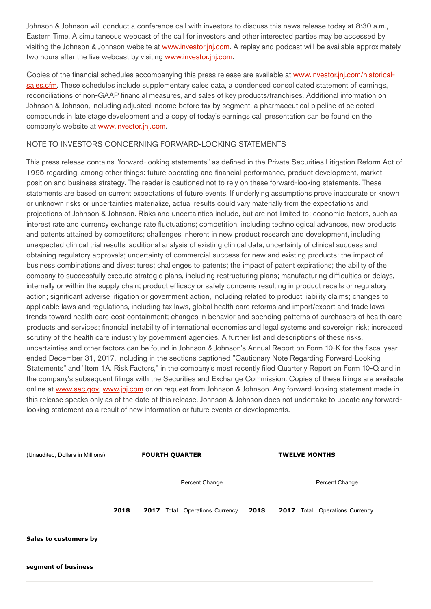Johnson & Johnson will conduct a conference call with investors to discuss this news release today at 8:30 a.m., Eastern Time. A simultaneous webcast of the call for investors and other interested parties may be accessed by visiting the Johnson & Johnson website at [www.investor.jnj.com](https://c212.net/c/link/?t=0&l=en&o=2352884-1&h=3757923446&u=http%3A%2F%2Fwww.investor.jnj.com%2F&a=www.investor.jnj.com). A replay and podcast will be available approximately two hours after the live webcast by visiting [www.investor.jnj.com](https://c212.net/c/link/?t=0&l=en&o=2352884-1&h=3757923446&u=http%3A%2F%2Fwww.investor.jnj.com%2F&a=www.investor.jnj.com).

Copies of the financial schedules accompanying this press release are available at www.investor.jpj.com/historicalsales.cfm. These schedules include supplementary sales data, a condensed consolidated statement of earnings, reconciliations of non-GAAP financial measures, and sales of key products/franchises. Additional information on Johnson & Johnson, including adjusted income before tax by segment, a pharmaceutical pipeline of selected compounds in late stage development and a copy of today's earnings call presentation can be found on the company's website at [www.investor.jnj.com.](https://c212.net/c/link/?t=0&l=en&o=2352884-1&h=3757923446&u=http%3A%2F%2Fwww.investor.jnj.com%2F&a=www.investor.jnj.com)

### NOTE TO INVESTORS CONCERNING FORWARD-LOOKING STATEMENTS

This press release contains "forward-looking statements" as defined in the Private Securities Litigation Reform Act of 1995 regarding, among other things: future operating and financial performance, product development, market position and business strategy. The reader is cautioned not to rely on these forward-looking statements. These statements are based on current expectations of future events. If underlying assumptions prove inaccurate or known or unknown risks or uncertainties materialize, actual results could vary materially from the expectations and projections of Johnson & Johnson. Risks and uncertainties include, but are not limited to: economic factors, such as interest rate and currency exchange rate fluctuations; competition, including technological advances, new products and patents attained by competitors; challenges inherent in new product research and development, including unexpected clinical trial results, additional analysis of existing clinical data, uncertainty of clinical success and obtaining regulatory approvals; uncertainty of commercial success for new and existing products; the impact of business combinations and divestitures; challenges to patents; the impact of patent expirations; the ability of the company to successfully execute strategic plans, including restructuring plans; manufacturing difficulties or delays, internally or within the supply chain; product efficacy or safety concerns resulting in product recalls or regulatory action; significant adverse litigation or government action, including related to product liability claims; changes to applicable laws and regulations, including tax laws, global health care reforms and import/export and trade laws; trends toward health care cost containment; changes in behavior and spending patterns of purchasers of health care products and services; financial instability of international economies and legal systems and sovereign risk; increased scrutiny of the health care industry by government agencies. A further list and descriptions of these risks, uncertainties and other factors can be found in Johnson & Johnson's Annual Report on Form 10-K for the fiscal year ended December 31, 2017, including in the sections captioned "Cautionary Note Regarding Forward-Looking Statements" and "Item 1A. Risk Factors," in the company's most recently filed Quarterly Report on Form 10-Q and in the company's subsequent filings with the Securities and Exchange Commission. Copies of these filings are available online at [www.sec.gov](https://c212.net/c/link/?t=0&l=en&o=2352884-1&h=1921994531&u=http%3A%2F%2Fwww.sec.gov%2F&a=www.sec.gov), [www.jnj.com](https://c212.net/c/link/?t=0&l=en&o=2352884-1&h=1383432213&u=http%3A%2F%2Fwww.jnj.com%2F&a=www.jnj.com) or on request from Johnson & Johnson. Any forward-looking statement made in this release speaks only as of the date of this release. Johnson & Johnson does not undertake to update any forwardlooking statement as a result of new information or future events or developments.

| <b>FOURTH QUARTER</b><br>(Unaudited; Dollars in Millions) |      | <b>TWELVE MONTHS</b> |                                     |  |  |  |                                |
|-----------------------------------------------------------|------|----------------------|-------------------------------------|--|--|--|--------------------------------|
|                                                           |      |                      | Percent Change                      |  |  |  | Percent Change                 |
|                                                           | 2018 |                      | 2017 Total Operations Currency 2018 |  |  |  | 2017 Total Operations Currency |
| Sales to customers by                                     |      |                      |                                     |  |  |  |                                |
| segment of business                                       |      |                      |                                     |  |  |  |                                |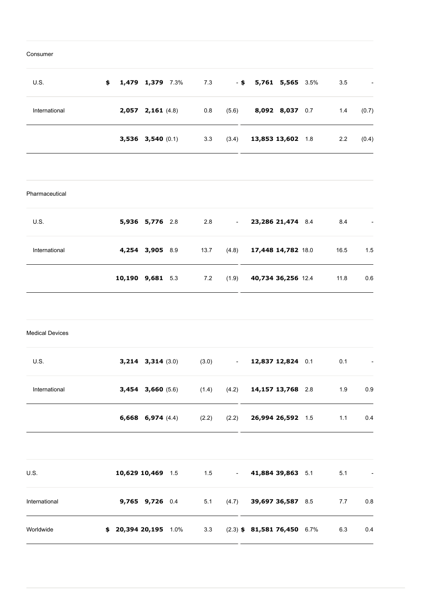| Consumer               |                                                               |       |       |                                   |  |      |       |
|------------------------|---------------------------------------------------------------|-------|-------|-----------------------------------|--|------|-------|
| U.S.                   | \$<br>1,479 1,379 7.3% 7.3 - \$ 5,761 5,565 3.5%              |       |       |                                   |  | 3.5  |       |
| International          | $2,057$ $2,161$ $(4.8)$                                       | 0.8   |       | $(5.6)$ 8,092 8,037 0.7           |  | 1.4  | (0.7) |
|                        | $3,536$ $3,540$ (0.1)                                         | 3.3   | (3.4) | 13,853 13,602 1.8                 |  | 2.2  | (0.4) |
| Pharmaceutical         |                                                               |       |       |                                   |  |      |       |
| U.S.                   | <b>5,936 5,776</b> 2.8 2.8 - <b>23,286 21,474</b> 8.4         |       |       |                                   |  | 8.4  |       |
| International          | 4,254 3,905 8.9                                               | 13.7  |       | $(4.8)$ 17,448 14,782 18.0        |  | 16.5 | 1.5   |
|                        | 10,190 9,681 5.3                                              | 7.2   | (1.9) | 40,734 36,256 12.4                |  | 11.8 | 0.6   |
| <b>Medical Devices</b> |                                                               |       |       |                                   |  |      |       |
| U.S.                   | <b>3,214 3,314</b> (3.0) (3.0) -                              |       |       | 12,837 12,824 0.1                 |  | 0.1  |       |
| International          | <b>3,454 3,660</b> (5.6) (1.4) (4.2) <b>14,157 13,768</b> 2.8 |       |       |                                   |  | 1.9  | 0.9   |
|                        | <b>6,668 6,974</b> (4.4)                                      | (2.2) | (2.2) | 26,994 26,592 1.5                 |  | 1.1  | 0.4   |
| U.S.                   | 10,629 10,469 1.5                                             | 1.5   |       | $-41,88439,86351$                 |  | 5.1  |       |
| International          | 9,765 9,726 0.4                                               | 5.1   |       | $(4.7)$ 39,697 36,587 8.5         |  | 7.7  | 0.8   |
| Worldwide              | $$20,39420,195$ 1.0%                                          |       |       | 3.3 $(2.3)$ \$ 81,581 76,450 6.7% |  | 6.3  | 0.4   |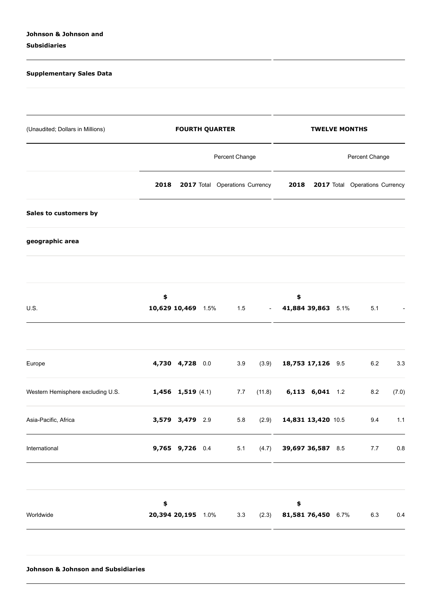#### **Supplementary Sales Data**

| (Unaudited; Dollars in Millions)  |                          | <b>FOURTH QUARTER</b> |  |                                |                          | <b>TWELVE MONTHS</b>            |  |  |                                |       |  |
|-----------------------------------|--------------------------|-----------------------|--|--------------------------------|--------------------------|---------------------------------|--|--|--------------------------------|-------|--|
|                                   |                          |                       |  | Percent Change                 |                          |                                 |  |  | Percent Change                 |       |  |
|                                   | 2018                     |                       |  | 2017 Total Operations Currency |                          | 2018                            |  |  | 2017 Total Operations Currency |       |  |
| Sales to customers by             |                          |                       |  |                                |                          |                                 |  |  |                                |       |  |
| geographic area                   |                          |                       |  |                                |                          |                                 |  |  |                                |       |  |
| U.S.                              | \$<br>10,629 10,469 1.5% |                       |  | 1.5                            | $\overline{\phantom{a}}$ | \$<br>41,884 39,863 5.1%        |  |  | 5.1                            |       |  |
|                                   |                          |                       |  |                                |                          |                                 |  |  |                                |       |  |
| Europe                            | 4,730 4,728 0.0          |                       |  | 3.9                            | (3.9)                    | 18,753 17,126 9.5               |  |  | 6.2                            | 3.3   |  |
| Western Hemisphere excluding U.S. | $1,456$ $1,519$ $(4.1)$  |                       |  | 7.7                            |                          | $(11.8)$ <b>6,113 6,041</b> 1.2 |  |  | 8.2                            | (7.0) |  |
| Asia-Pacific, Africa              | 3,579 3,479 2.9          |                       |  | 5.8                            | (2.9)                    | 14,831 13,420 10.5              |  |  | 9.4                            | 1.1   |  |
| International                     | <b>9,765 9,726</b> 0.4   |                       |  | 5.1                            |                          | $(4.7)$ 39,697 36,587 8.5       |  |  | 7.7                            | 0.8   |  |
| Worldwide                         | \$<br>20,394 20,195 1.0% |                       |  | 3.3                            | (2.3)                    | \$<br>81,581 76,450 6.7%        |  |  | 6.3                            | 0.4   |  |

#### **Johnson & Johnson and Subsidiaries**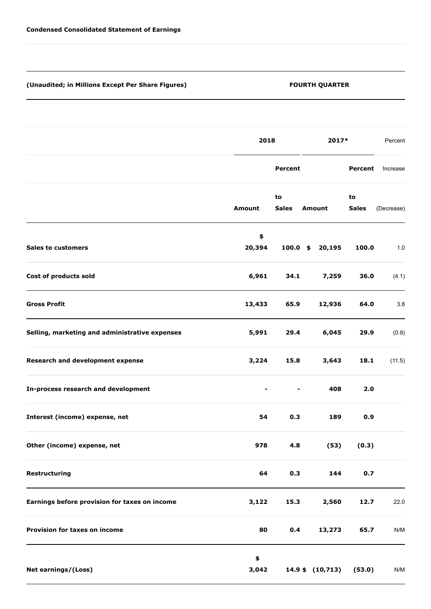# **(Unaudited; in Millions Except Per Share Figures) FOURTH QUARTER**

|                                                | 2018         |                    |                  | 2017*              |                         |  |
|------------------------------------------------|--------------|--------------------|------------------|--------------------|-------------------------|--|
|                                                |              | Percent            |                  | Percent            | Increase                |  |
|                                                | Amount       | to<br><b>Sales</b> | <b>Amount</b>    | to<br><b>Sales</b> | (Decrease)              |  |
| <b>Sales to customers</b>                      | \$<br>20,394 |                    | 100.0 \$ 20,195  | 100.0              | $1.0$                   |  |
| Cost of products sold                          | 6,961        | 34.1               | 7,259            | 36.0               | (4.1)                   |  |
| <b>Gross Profit</b>                            | 13,433       | 65.9               | 12,936           | 64.0               | 3.8                     |  |
| Selling, marketing and administrative expenses | 5,991        | 29.4               | 6,045            | 29.9               | (0.9)                   |  |
| <b>Research and development expense</b>        | 3,224        | 15.8               | 3,643            | 18.1               | (11.5)                  |  |
| In-process research and development            |              |                    | 408              | 2.0                |                         |  |
| Interest (income) expense, net                 | 54           | 0.3                | 189              | 0.9                |                         |  |
| Other (income) expense, net                    | 978          | 4.8                | (53)             | (0.3)              |                         |  |
| <b>Restructuring</b>                           | 64           | 0.3                | 144              | 0.7                |                         |  |
| Earnings before provision for taxes on income  | 3,122        | 15.3               | 2,560            | 12.7               | 22.0                    |  |
| Provision for taxes on income                  | 80           | 0.4                | 13,273           | 65.7               | N/M                     |  |
| Net earnings/(Loss)                            | \$<br>3,042  |                    | 14.9 \$ (10,713) | (53.0)             | $\textsf{N}/\textsf{M}$ |  |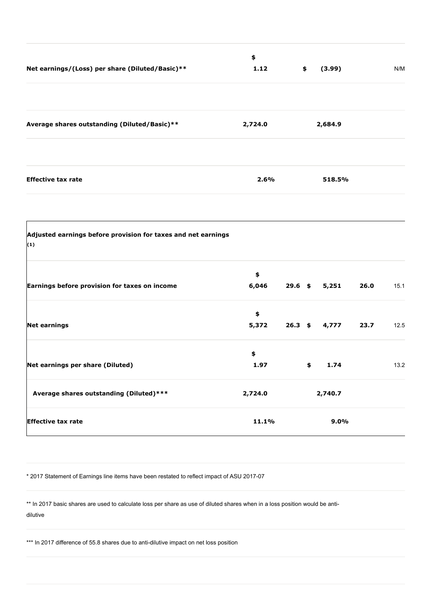| Net earnings/(Loss) per share (Diluted/Basic)** | \$<br>1.12 | (3.99)<br>\$ | N/M |
|-------------------------------------------------|------------|--------------|-----|
| Average shares outstanding (Diluted/Basic)**    | 2,724.0    | 2,684.9      |     |
| <b>Effective tax rate</b>                       | 2.6%       | 518.5%       |     |

| Adjusted earnings before provision for taxes and net earnings<br>(1) |         |    |                     |      |      |
|----------------------------------------------------------------------|---------|----|---------------------|------|------|
|                                                                      | \$      |    |                     |      |      |
| Earnings before provision for taxes on income                        | 6,046   |    | $29.6 \quad $5,251$ | 26.0 | 15.1 |
|                                                                      | \$      |    |                     |      |      |
| <b>Net earnings</b>                                                  | 5,372   |    | $26.3 \quad $4,777$ | 23.7 | 12.5 |
|                                                                      | \$      |    |                     |      |      |
| Net earnings per share (Diluted)                                     | 1.97    | \$ | 1.74                |      | 13.2 |
| Average shares outstanding (Diluted)***                              | 2,724.0 |    | 2,740.7             |      |      |
| <b>Effective tax rate</b>                                            | 11.1%   |    | 9.0%                |      |      |

\* 2017 Statement of Earnings line items have been restated to reflect impact of ASU 2017-07

\*\* In 2017 basic shares are used to calculate loss per share as use of diluted shares when in a loss position would be antidilutive

\*\*\* In 2017 difference of 55.8 shares due to anti-dilutive impact on net loss position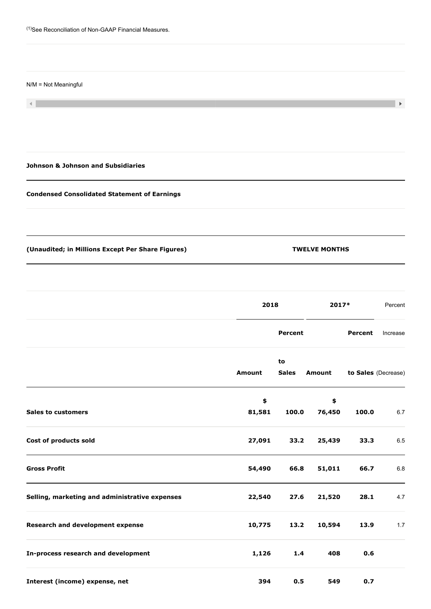N/M = Not Meaningful

 $\left\| \cdot \right\|$ 

**Johnson & Johnson and Subsidiaries**

**Condensed Consolidated Statement of Earnings**

**(Unaudited; in Millions Except Per Share Figures) TWELVE MONTHS**

 $\|\hspace{1mm} \cdot\hspace{1mm} \cdot\hspace{1mm} \cdot\hspace{1mm} \cdot\hspace{1mm}$ 

|                                                |               | 2018<br>$2017*$    |              |         | Percent             |
|------------------------------------------------|---------------|--------------------|--------------|---------|---------------------|
|                                                |               | Percent            |              | Percent | Increase            |
|                                                | <b>Amount</b> | to<br><b>Sales</b> | Amount       |         | to Sales (Decrease) |
| <b>Sales to customers</b>                      | \$<br>81,581  | 100.0              | \$<br>76,450 | 100.0   | 6.7                 |
| Cost of products sold                          | 27,091        | 33.2               | 25,439       | 33.3    | 6.5                 |
| <b>Gross Profit</b>                            | 54,490        | 66.8               | 51,011       | 66.7    | 6.8                 |
| Selling, marketing and administrative expenses | 22,540        | 27.6               | 21,520       | 28.1    | 4.7                 |
| <b>Research and development expense</b>        | 10,775        | 13.2               | 10,594       | 13.9    | 1.7                 |
| In-process research and development            | 1,126         | $1.4$              | 408          | 0.6     |                     |
| Interest (income) expense, net                 | 394           | 0.5                | 549          | 0.7     |                     |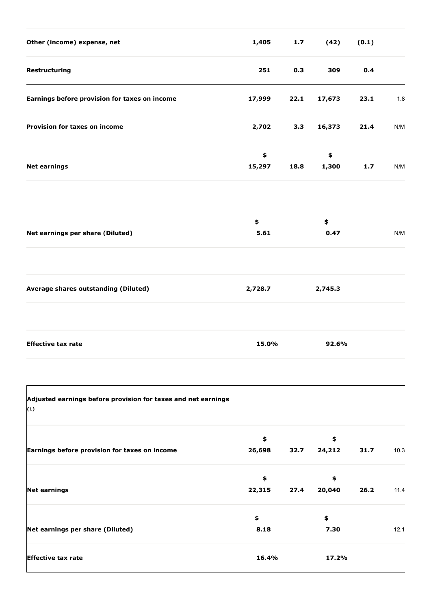| Other (income) expense, net                   | 1,405   | 1.7  | (42)    | (0.1) |                         |
|-----------------------------------------------|---------|------|---------|-------|-------------------------|
| <b>Restructuring</b>                          | 251     | 0.3  | 309     | 0.4   |                         |
| Earnings before provision for taxes on income | 17,999  | 22.1 | 17,673  | 23.1  | 1.8                     |
| Provision for taxes on income                 | 2,702   | 3.3  | 16,373  | 21.4  | $\textsf{N}/\textsf{M}$ |
|                                               | \$      |      | \$      |       |                         |
| <b>Net earnings</b>                           | 15,297  | 18.8 | 1,300   | 1.7   | N/M                     |
|                                               |         |      |         |       |                         |
|                                               | \$      |      | \$      |       |                         |
| Net earnings per share (Diluted)              | 5.61    |      | 0.47    |       | N/M                     |
| Average shares outstanding (Diluted)          | 2,728.7 |      | 2,745.3 |       |                         |
|                                               |         |      |         |       |                         |
| <b>Effective tax rate</b>                     | 15.0%   |      | 92.6%   |       |                         |

| Adjusted earnings before provision for taxes and net earnings |        |      |        |      |      |
|---------------------------------------------------------------|--------|------|--------|------|------|
| (1)                                                           |        |      |        |      |      |
|                                                               | \$     |      | \$     |      |      |
| Earnings before provision for taxes on income                 | 26,698 | 32.7 | 24,212 | 31.7 | 10.3 |
|                                                               | \$     |      | \$     |      |      |
| <b>Net earnings</b>                                           | 22,315 | 27.4 | 20,040 | 26.2 | 11.4 |
|                                                               | \$     |      | \$     |      |      |
| Net earnings per share (Diluted)                              | 8.18   |      | 7.30   |      | 12.1 |
| <b>Effective tax rate</b>                                     | 16.4%  |      | 17.2%  |      |      |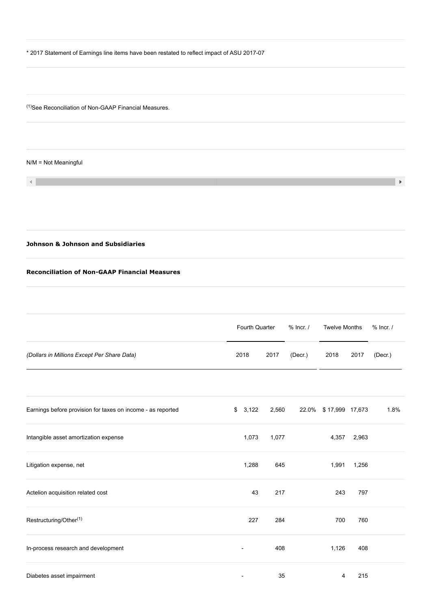\* 2017 Statement of Earnings line items have been restated to reflect impact of ASU 2017-07

 $(1)$ See Reconciliation of Non-GAAP Financial Measures.

N/M = Not Meaningful

 $\mathcal{A}$  .

#### **Johnson & Johnson and Subsidiaries**

#### **Reconciliation of Non-GAAP Financial Measures**

|                                                             | Fourth Quarter           |       | $%$ Incr. / | <b>Twelve Months</b>  |       | $%$ Incr. / |
|-------------------------------------------------------------|--------------------------|-------|-------------|-----------------------|-------|-------------|
| (Dollars in Millions Except Per Share Data)                 | 2018                     | 2017  | (Decr.)     | 2018                  | 2017  | (Decr.)     |
|                                                             |                          |       |             |                       |       |             |
| Earnings before provision for taxes on income - as reported | \$<br>3,122              | 2,560 |             | 22.0% \$17,999 17,673 |       | 1.8%        |
| Intangible asset amortization expense                       | 1,073                    | 1,077 |             | 4,357                 | 2,963 |             |
| Litigation expense, net                                     | 1,288                    | 645   |             | 1,991                 | 1,256 |             |
| Actelion acquisition related cost                           | 43                       | 217   |             | 243                   | 797   |             |
| Restructuring/Other(1)                                      | 227                      | 284   |             | 700                   | 760   |             |
| In-process research and development                         |                          | 408   |             | 1,126                 | 408   |             |
| Diabetes asset impairment                                   | $\overline{\phantom{0}}$ | 35    |             | 4                     | 215   |             |

 $\rightarrow$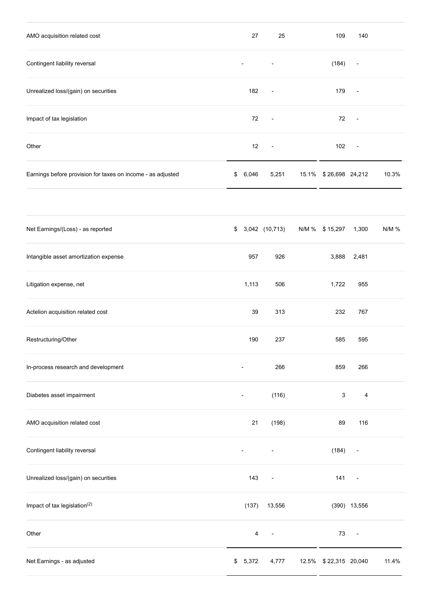| AMO acquisition related cost                                | 27                       | 25                       |       | 109             | 140                          |       |
|-------------------------------------------------------------|--------------------------|--------------------------|-------|-----------------|------------------------------|-------|
| Contingent liability reversal                               | $\overline{\phantom{a}}$ | $\overline{\phantom{a}}$ |       | (184)           | $\qquad \qquad \blacksquare$ |       |
| Unrealized loss/(gain) on securities                        | 182                      | $\overline{\phantom{a}}$ |       | 179             | $\overline{\phantom{a}}$     |       |
| Impact of tax legislation                                   | 72                       | $\overline{\phantom{a}}$ |       | $72\,$          | $\overline{\phantom{a}}$     |       |
| Other                                                       | 12                       |                          |       | 102             | $\overline{\phantom{a}}$     |       |
| Earnings before provision for taxes on income - as adjusted | 6,046<br>\$              | 5,251                    | 15.1% | \$26,698 24,212 |                              | 10.3% |
| Net Earnings/(Loss) - as reported                           | \$                       | 3,042 (10,713)           |       | N/M % \$15,297  | 1,300                        | N/M % |
| Intangible asset amortization expense                       | 957                      | 926                      |       | 3,888           | 2,481                        |       |
| Litigation expense, net                                     | 1,113                    | 506                      |       | 1,722           | 955                          |       |
| Actelion acquisition related cost                           | 39                       | 313                      |       | 232             | 767                          |       |
| Restructuring/Other                                         | 190                      | 237                      |       | 585             | 595                          |       |
| In-process research and development                         |                          | 266                      |       | 859             | 266                          |       |
| Diabetes asset impairment                                   |                          | (116)                    |       | 3               | 4                            |       |
| AMO acquisition related cost                                | 21                       | (198)                    |       | 89              | 116                          |       |
| Contingent liability reversal                               |                          |                          |       | (184)           | $\qquad \qquad \blacksquare$ |       |
| Unrealized loss/(gain) on securities                        | 143                      | $\overline{\phantom{a}}$ |       | 141             | $\overline{\phantom{a}}$     |       |
| Impact of tax legislation <sup>(2)</sup>                    | (137)                    | 13,556                   |       |                 | $(390)$ 13,556               |       |
| Other                                                       | 4                        |                          |       | $73\,$          | $\overline{\phantom{a}}$     |       |
| Net Earnings - as adjusted                                  | 5,372<br>$\frac{1}{2}$   | 4,777                    | 12.5% | \$22,315 20,040 |                              | 11.4% |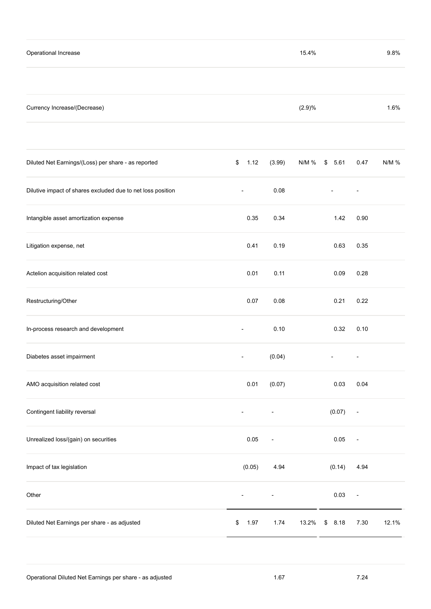| Operational Increase                                        |                          |        | 15.4%  |        |                          | 9.8%  |
|-------------------------------------------------------------|--------------------------|--------|--------|--------|--------------------------|-------|
|                                                             |                          |        |        |        |                          |       |
| Currency Increase/(Decrease)                                |                          |        | (2.9)% |        |                          | 1.6%  |
|                                                             |                          |        |        |        |                          |       |
| Diluted Net Earnings/(Loss) per share - as reported         | \$<br>1.12               | (3.99) | N/M %  | \$5.61 | 0.47                     | N/M % |
| Dilutive impact of shares excluded due to net loss position | $\overline{\phantom{a}}$ | 0.08   |        |        | $\overline{\phantom{a}}$ |       |
| Intangible asset amortization expense                       | 0.35                     | 0.34   |        | 1.42   | 0.90                     |       |
| Litigation expense, net                                     | 0.41                     | 0.19   |        | 0.63   | 0.35                     |       |
| Actelion acquisition related cost                           | 0.01                     | 0.11   |        | 0.09   | 0.28                     |       |
| Restructuring/Other                                         | 0.07                     | 0.08   |        | 0.21   | 0.22                     |       |
| In-process research and development                         | $\overline{\phantom{a}}$ | 0.10   |        | 0.32   | 0.10                     |       |
| Diabetes asset impairment                                   |                          | (0.04) |        |        |                          |       |
| AMO acquisition related cost                                | 0.01                     | (0.07) |        | 0.03   | 0.04                     |       |
| Contingent liability reversal                               |                          |        |        | (0.07) | $\overline{\phantom{a}}$ |       |
| Unrealized loss/(gain) on securities                        | $0.05\,$                 | -      |        | 0.05   | $\overline{\phantom{a}}$ |       |
| Impact of tax legislation                                   | (0.05)                   | 4.94   |        | (0.14) | 4.94                     |       |
| Other                                                       |                          |        |        | 0.03   | $\overline{a}$           |       |
| Diluted Net Earnings per share - as adjusted                | \$<br>1.97               | 1.74   | 13.2%  | \$8.18 | 7.30                     | 12.1% |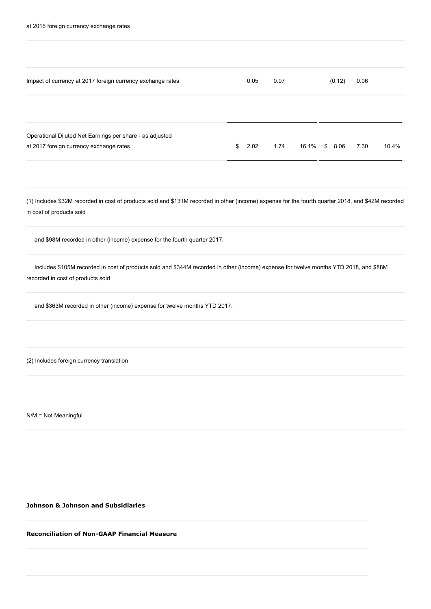| Impact of currency at 2017 foreign currency exchange rates                                          | 0.05       | 0.07 |               | (0.12) | 0.06 |       |
|-----------------------------------------------------------------------------------------------------|------------|------|---------------|--------|------|-------|
|                                                                                                     |            |      |               |        |      |       |
| Operational Diluted Net Earnings per share - as adjusted<br>at 2017 foreign currency exchange rates | \$<br>2.02 | 1.74 | 16.1% \$ 8.06 |        | 7.30 | 10.4% |

(1) Includes \$32M recorded in cost of products sold and \$131M recorded in other (income) expense for the fourth quarter 2018, and \$42M recorded in cost of products sold

and \$98M recorded in other (income) expense for the fourth quarter 2017.

Includes \$105M recorded in cost of products sold and \$344M recorded in other (income) expense for twelve months YTD 2018, and \$88M recorded in cost of products sold

and \$363M recorded in other (income) expense for twelve months YTD 2017.

(2) Includes foreign currency translation

N/M = Not Meaningful

**Johnson & Johnson and Subsidiaries**

**Reconciliation of Non-GAAP Financial Measure**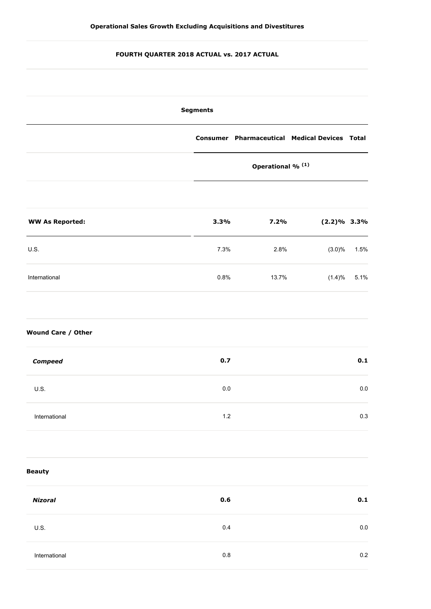# **FOURTH QUARTER 2018 ACTUAL vs. 2017 ACTUAL**

|                        | <b>Segments</b> |                   |                                                      |                |
|------------------------|-----------------|-------------------|------------------------------------------------------|----------------|
|                        |                 |                   | <b>Consumer Pharmaceutical Medical Devices Total</b> |                |
|                        |                 | Operational % (1) |                                                      |                |
| <b>WW As Reported:</b> | 3.3%            | 7.2%              | $(2.2)\%$ 3.3%                                       |                |
| U.S.                   | 7.3%            | 2.8%              | $(3.0)\%$                                            | 1.5%           |
| International          | 0.8%            | 13.7%             | (1.4)%                                               | 5.1%           |
| Wound Care / Other     |                 |                   |                                                      |                |
| <b>Compeed</b>         | 0.7             |                   |                                                      | 0.1            |
| U.S.                   | $0.0\,$         |                   |                                                      | $0.0\,$        |
| International          | $1.2$           |                   |                                                      | $0.3\,$        |
| <b>Beauty</b>          |                 |                   |                                                      |                |
| <b>Nizoral</b>         | 0.6             |                   |                                                      | $\mathbf{0.1}$ |
| U.S.                   | $0.4\,$         |                   |                                                      | $0.0\,$        |
| International          | $0.8\,$         |                   |                                                      | $0.2\,$        |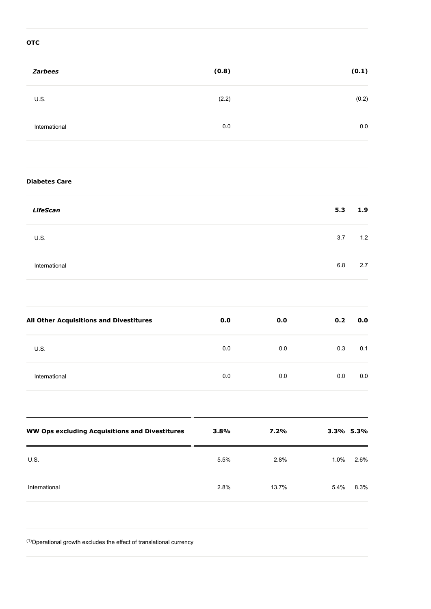**OTC**

| <b>Zarbees</b> | (0.8) | (0.1) |
|----------------|-------|-------|
| U.S.           | (2.2) | (0.2) |
| International  | 0.0   | 0.0   |

#### **Diabetes Care**

| <b>LifeScan</b> | 5.3 | 1.9 |
|-----------------|-----|-----|
| U.S.            | 3.7 | 1.2 |
| International   | 6.8 | 2.7 |

| All Other Acquisitions and Divestitures | 0.0 | 0.0 | 0.2 | 0.0 |
|-----------------------------------------|-----|-----|-----|-----|
| U.S.                                    | 0.0 | 0.0 | 0.3 | 0.1 |
| International                           | 0.0 | 0.0 | 0.0 | 0.0 |

| <b>WW Ops excluding Acquisitions and Divestitures</b> | 3.8% | 7.2%  |      | 3.3% 5.3% |
|-------------------------------------------------------|------|-------|------|-----------|
| U.S.                                                  | 5.5% | 2.8%  | 1.0% | 2.6%      |
| International                                         | 2.8% | 13.7% | 5.4% | 8.3%      |

#### $^{(1)}$ Operational growth excludes the effect of translational currency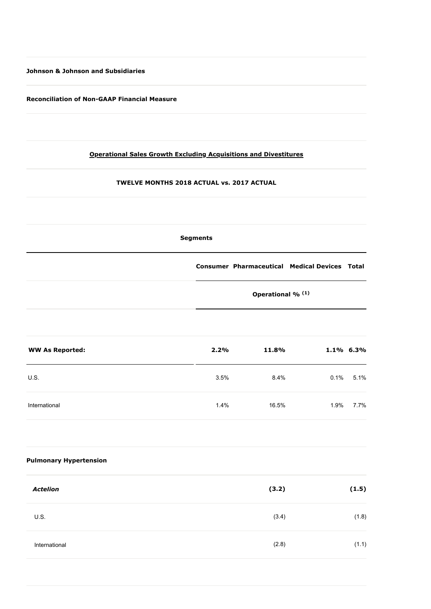**Johnson & Johnson and Subsidiaries**

#### **Reconciliation of Non-GAAP Financial Measure**

#### **Operational Sales Growth Excluding Acquisitions and Divestitures**

#### **TWELVE MONTHS 2018 ACTUAL vs. 2017 ACTUAL**

 **Segments**

**Consumer Pharmaceutical Medical Devices Total** 

**Operational % (1)**

| <b>WW As Reported:</b> | 2.2% | 11.8% |      | $1.1\%$ 6.3% |
|------------------------|------|-------|------|--------------|
| U.S.                   | 3.5% | 8.4%  | 0.1% | 5.1%         |
| International          | 1.4% | 16.5% | 1.9% | 7.7%         |

#### **Pulmonary Hypertension**

| <b>Actelion</b> | (3.2) | (1.5) |
|-----------------|-------|-------|
| U.S.            | (3.4) | (1.8) |
| International   | (2.8) | (1.1) |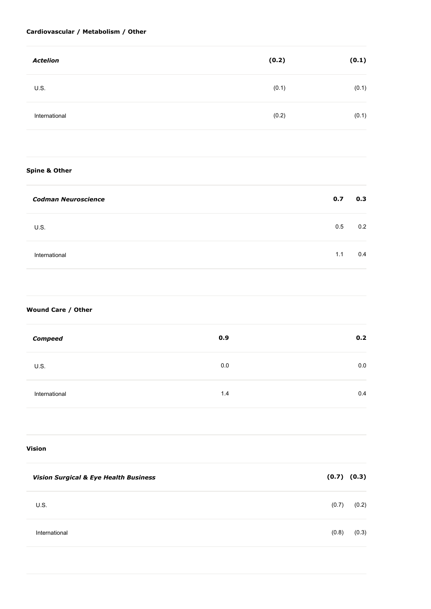#### **Cardiovascular / Metabolism / Other**

| <b>Actelion</b>                                  |         | (0.2) |             | (0.1)   |
|--------------------------------------------------|---------|-------|-------------|---------|
| U.S.                                             |         | (0.1) |             | (0.1)   |
| International                                    |         | (0.2) |             | (0.1)   |
| Spine & Other                                    |         |       |             |         |
| <b>Codman Neuroscience</b>                       |         |       | 0.7         | 0.3     |
| U.S.                                             |         |       | $0.5\,$     | 0.2     |
| International                                    |         |       | $1.1$       | 0.4     |
| Wound Care / Other                               |         |       |             |         |
| <b>Compeed</b>                                   | 0.9     |       |             | 0.2     |
| U.S.                                             | $0.0\,$ |       |             | $0.0\,$ |
| International                                    | $1.4$   |       |             | 0.4     |
| Vision                                           |         |       |             |         |
| <b>Vision Surgical &amp; Eye Health Business</b> |         |       | (0.7) (0.3) |         |
| U.S.                                             |         |       | (0.7)       | (0.2)   |
| International                                    |         |       | (0.8)       | (0.3)   |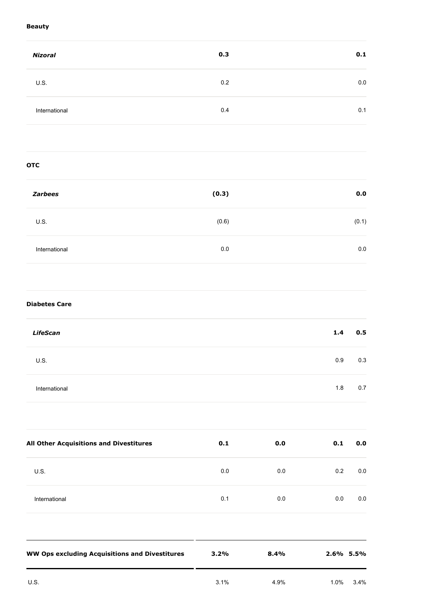#### **Beauty**

| <b>Nizoral</b>                          | 0.3            |                |                | $\mathbf{0.1}$ |
|-----------------------------------------|----------------|----------------|----------------|----------------|
| U.S.                                    | $0.2\,$        |                |                | $0.0\,$        |
| International                           | 0.4            |                |                | 0.1            |
|                                         |                |                |                |                |
| <b>OTC</b>                              |                |                |                |                |
| <b>Zarbees</b>                          | (0.3)          |                |                | $0.0\,$        |
| U.S.                                    | (0.6)          |                |                | (0.1)          |
| International                           | $0.0\,$        |                |                | $0.0\,$        |
| <b>Diabetes Care</b>                    |                |                |                |                |
| <b>LifeScan</b>                         |                |                | $1.4$          | 0.5            |
| U.S.                                    |                |                | 0.9            | 0.3            |
| International                           |                |                | $1.8\,$        | $0.7\,$        |
| All Other Acquisitions and Divestitures | $\mathbf{0.1}$ | $\mathbf{0.0}$ | $\mathbf{0.1}$ | $\mathbf{0.0}$ |
| U.S.                                    | $0.0\,$        | $0.0\,$        | $0.2\,$        | $0.0\,$        |

| <b>WW Ops excluding Acquisitions and Divestitures</b> | $3.2\%$ | 8.4% | 2.6% 5.5%          |
|-------------------------------------------------------|---------|------|--------------------|
|                                                       |         |      |                    |
| U.S.                                                  | 3.1%    | 4.9% | $1.0\%$<br>$3.4\%$ |

International 0.1 0.0 0.0 0.0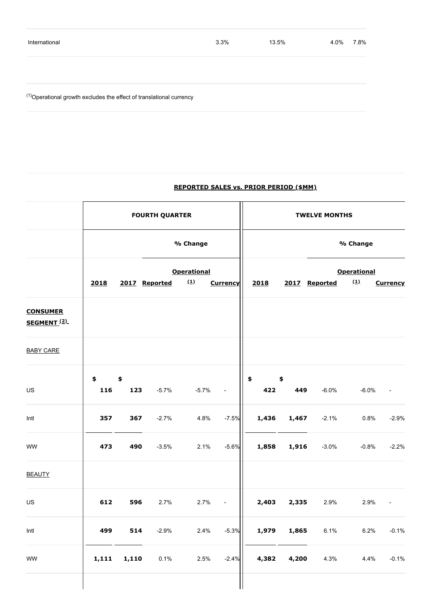| International | 3.3% | 13.5% | 4.0% | 7.8% |
|---------------|------|-------|------|------|
|               |      |       |      |      |

 $(1)$ Operational growth excludes the effect of translational currency

## **REPORTED SALES vs. PRIOR PERIOD (\$MM)**

|                                           |           |             | <b>FOURTH QUARTER</b> |                           |                 | <b>TWELVE MONTHS</b> |           |               |                           |                          |  |  |
|-------------------------------------------|-----------|-------------|-----------------------|---------------------------|-----------------|----------------------|-----------|---------------|---------------------------|--------------------------|--|--|
|                                           |           |             | % Change              |                           |                 |                      |           |               | % Change                  |                          |  |  |
|                                           | 2018      |             | 2017 Reported         | <b>Operational</b><br>(1) | <b>Currency</b> | 2018                 |           | 2017 Reported | <b>Operational</b><br>(1) | <b>Currency</b>          |  |  |
| <b>CONSUMER</b><br>SEGMENT <sup>(2)</sup> |           |             |                       |                           |                 |                      |           |               |                           |                          |  |  |
| <b>BABY CARE</b>                          |           |             |                       |                           |                 |                      |           |               |                           |                          |  |  |
| US                                        | \$<br>116 | \$<br>123   | $-5.7\%$              | $-5.7\%$                  | $\blacksquare$  | \$<br>422            | \$<br>449 | $-6.0%$       | $-6.0%$                   |                          |  |  |
| Intl                                      | 357       | 367         | $-2.7%$               | 4.8%                      | $-7.5%$         | 1,436                | 1,467     | $-2.1%$       | 0.8%                      | $-2.9%$                  |  |  |
| WW                                        | 473       | 490         | $-3.5%$               | 2.1%                      | $-5.6%$         | 1,858                | 1,916     | $-3.0%$       | $-0.8%$                   | $-2.2%$                  |  |  |
| <b>BEAUTY</b>                             |           |             |                       |                           |                 |                      |           |               |                           |                          |  |  |
| US                                        | 612       | 596         | 2.7%                  | 2.7%                      | $\blacksquare$  | 2,403                | 2,335     | 2.9%          | 2.9%                      | $\overline{\phantom{a}}$ |  |  |
| Intl                                      | 499       | 514         | $-2.9%$               | 2.4%                      | $-5.3%$         | 1,979                | 1,865     | 6.1%          | 6.2%                      | $-0.1%$                  |  |  |
| WW                                        |           | 1,111 1,110 | 0.1%                  | 2.5%                      | $-2.4%$         | 4,382                | 4,200     | 4.3%          | 4.4%                      | $-0.1%$                  |  |  |
|                                           |           |             |                       |                           |                 |                      |           |               |                           |                          |  |  |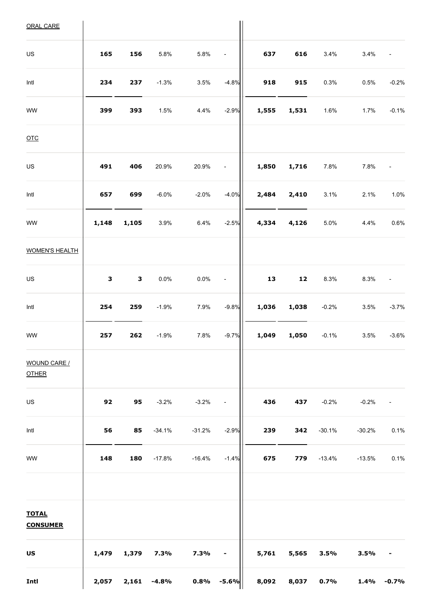| <b>ORAL CARE</b>                |       |              |          |          |                          |       |            |          |          |                          |
|---------------------------------|-------|--------------|----------|----------|--------------------------|-------|------------|----------|----------|--------------------------|
| US                              | 165   | 156          | 5.8%     | 5.8%     | L,                       | 637   | 616        | 3.4%     | 3.4%     |                          |
| Intl                            | 234   | 237          | $-1.3%$  | 3.5%     | $-4.8%$                  | 918   | 915        | 0.3%     | 0.5%     | $-0.2%$                  |
| WW                              | 399   | 393          | 1.5%     | 4.4%     | $-2.9%$                  | 1,555 | 1,531      | 1.6%     | 1.7%     | $-0.1%$                  |
| $OTC$                           |       |              |          |          |                          |       |            |          |          |                          |
| US                              | 491   | 406          | 20.9%    | 20.9%    | ÷,                       | 1,850 | 1,716      | 7.8%     | 7.8%     |                          |
| Intl                            | 657   | 699          | $-6.0%$  | $-2.0%$  | $-4.0%$                  | 2,484 | 2,410      | 3.1%     | 2.1%     | 1.0%                     |
| WW                              | 1,148 | 1,105        | 3.9%     | 6.4%     | $-2.5%$                  | 4,334 | 4,126      | 5.0%     | 4.4%     | 0.6%                     |
| <b>WOMEN'S HEALTH</b>           |       |              |          |          |                          |       |            |          |          |                          |
| US                              | 3     | $\mathbf{3}$ | 0.0%     | 0.0%     | $\overline{a}$           | 13    | ${\bf 12}$ | 8.3%     | 8.3%     |                          |
| Intl                            | 254   | 259          | $-1.9%$  | 7.9%     | $-9.8%$                  | 1,036 | 1,038      | $-0.2%$  | 3.5%     | $-3.7%$                  |
| WW                              | 257   | 262          | $-1.9%$  | 7.8%     | $-9.7%$                  | 1,049 | 1,050      | $-0.1%$  | 3.5%     | $-3.6%$                  |
| WOUND CARE /<br><b>OTHER</b>    |       |              |          |          |                          |       |            |          |          |                          |
| US                              | 92    | 95           | $-3.2%$  | $-3.2%$  | $\overline{\phantom{a}}$ | 436   | 437        | $-0.2%$  | $-0.2%$  | $\overline{\phantom{a}}$ |
| Intl                            | 56    | 85           | $-34.1%$ | $-31.2%$ | $-2.9%$                  | 239   | 342        | $-30.1%$ | $-30.2%$ | 0.1%                     |
| <b>WW</b>                       | 148   | 180          | $-17.8%$ | $-16.4%$ | $-1.4%$                  | 675   | 779        | $-13.4%$ | $-13.5%$ | 0.1%                     |
| <b>TOTAL</b><br><b>CONSUMER</b> |       |              |          |          |                          |       |            |          |          |                          |
| US                              | 1,479 | 1,379        | 7.3%     | 7.3%     | $\blacksquare$           | 5,761 | 5,565      | 3.5%     | 3.5%     |                          |
| Intl                            | 2,057 | 2,161        | $-4.8%$  | 0.8%     | $-5.6%$                  | 8,092 | 8,037      | 0.7%     | 1.4%     | $-0.7%$                  |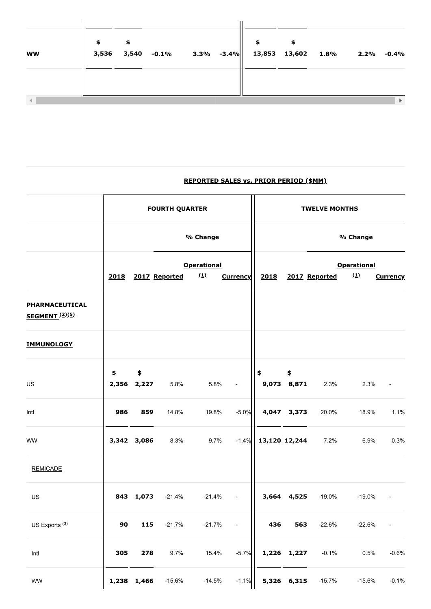| <b>WW</b> | 3,536 3,540 -0.1% |  | $3.3\%$ -3.4% 13,853 13,602 1.8% 2.2% -0.4% |  |  |
|-----------|-------------------|--|---------------------------------------------|--|--|
|           |                   |  |                                             |  |  |

### **REPORTED SALES vs. PRIOR PERIOD (\$MM)**

|                                               |                                                                       |                   | <b>FOURTH QUARTER</b> |          |                          |       |                           | <b>TWELVE MONTHS</b> |           |                          |
|-----------------------------------------------|-----------------------------------------------------------------------|-------------------|-----------------------|----------|--------------------------|-------|---------------------------|----------------------|-----------|--------------------------|
|                                               |                                                                       |                   |                       | % Change |                          |       |                           |                      | % Change  |                          |
|                                               | <b>Operational</b><br>(1)<br>2018<br>2017 Reported<br><b>Currency</b> |                   |                       |          |                          | 2018  | <b>Operational</b><br>(1) | <b>Currency</b>      |           |                          |
| PHARMACEUTICAL<br>$SEGMENT$ <sup>(2)(5)</sup> |                                                                       |                   |                       |          |                          |       |                           |                      |           |                          |
| <b>IMMUNOLOGY</b>                             |                                                                       |                   |                       |          |                          |       |                           |                      |           |                          |
| US.                                           | \$                                                                    | \$<br>2,356 2,227 | 5.8%                  | 5.8%     | $\overline{\phantom{a}}$ | \$    | \$<br>9,073 8,871         | 2.3%                 | 2.3%      |                          |
| Intl                                          | 986                                                                   | 859               | 14.8%                 | 19.8%    | $-5.0%$                  | 4,047 | 3,373                     | 20.0%                | 18.9%     | 1.1%                     |
| <b>WW</b>                                     |                                                                       | 3,342 3,086       | 8.3%                  | 9.7%     | $-1.4%$                  |       | 13,120 12,244             | 7.2%                 | 6.9%      | 0.3%                     |
| <b>REMICADE</b>                               |                                                                       |                   |                       |          |                          |       |                           |                      |           |                          |
| US                                            |                                                                       | 843 1,073         | $-21.4%$              | $-21.4%$ | $\overline{\phantom{a}}$ |       | 3,664 4,525               | $-19.0\%$            | $-19.0\%$ | $\overline{\phantom{a}}$ |
| US Exports <sup>(3)</sup>                     | 90                                                                    | 115               | $-21.7%$              | $-21.7%$ | $\overline{\phantom{a}}$ | 436   | 563                       | $-22.6%$             | $-22.6%$  | $\overline{a}$           |
| Intl                                          | 305                                                                   | 278               | 9.7%                  | 15.4%    | $-5.7%$                  |       | 1,226 1,227               | $-0.1%$              | 0.5%      | $-0.6%$                  |
| <b>WW</b>                                     | 1,238                                                                 | 1,466             | $-15.6%$              | $-14.5%$ | $-1.1%$                  |       | 5,326 6,315               | $-15.7%$             | $-15.6%$  | $-0.1%$                  |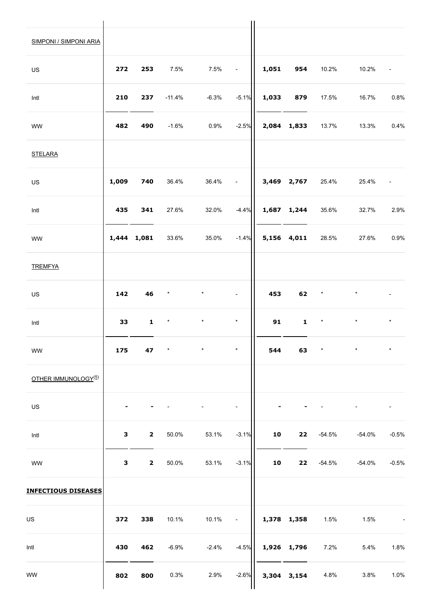| SIMPONI / SIMPONI ARIA          |              |              |          |         |                          |            |              |                   |          |                          |
|---------------------------------|--------------|--------------|----------|---------|--------------------------|------------|--------------|-------------------|----------|--------------------------|
| US                              | 272          | 253          | 7.5%     | 7.5%    | $\overline{\phantom{a}}$ | 1,051      | 954          | 10.2%             | 10.2%    | $\overline{\phantom{a}}$ |
| Intl                            | 210          | 237          | $-11.4%$ | $-6.3%$ | $-5.1%$                  | 1,033      | 879          | 17.5%             | 16.7%    | 0.8%                     |
| <b>WW</b>                       | 482          | 490          | $-1.6%$  | 0.9%    | $-2.5%$                  |            | 2,084 1,833  | 13.7%             | 13.3%    | 0.4%                     |
| <b>STELARA</b>                  |              |              |          |         |                          |            |              |                   |          |                          |
| US                              | 1,009        | 740          | 36.4%    | 36.4%   | $\overline{\phantom{a}}$ |            | 3,469 2,767  | 25.4%             | 25.4%    | $\overline{\phantom{a}}$ |
| Intl                            | 435          | 341          | 27.6%    | 32.0%   | $-4.4%$                  |            | 1,687 1,244  | 35.6%             | 32.7%    | 2.9%                     |
| <b>WW</b>                       |              | 1,444 1,081  | 33.6%    | 35.0%   | $-1.4%$                  |            | 5,156 4,011  | 28.5%             | 27.6%    | 0.9%                     |
| <b>TREMFYA</b>                  |              |              |          |         |                          |            |              |                   |          |                          |
| US                              | 142          | 46           | $\star$  | $\star$ | $\blacksquare$           | 453        | 62           | $\star$           | $\star$  |                          |
| Intl                            | 33           | $\mathbf{1}$ | $\star$  | $\star$ | $\star$                  | 91         | $\mathbf{1}$ | $\qquad \, \star$ | $\star$  | $\star$                  |
| WW                              | 175          | 47           | $\star$  | $\star$ | $\star$                  | 544        | 63           | $\star$           | $\star$  | $\star$                  |
| OTHER IMMUNOLOGY <sup>(5)</sup> |              |              |          |         |                          |            |              |                   |          |                          |
| US                              |              |              |          |         |                          |            |              |                   |          |                          |
| Intl                            | $\mathbf{3}$ | $\mathbf{2}$ | 50.0%    | 53.1%   | $-3.1%$                  | ${\bf 10}$ | 22           | $-54.5%$          | $-54.0%$ | $-0.5%$                  |
| WW                              | $\mathbf{3}$ | $\mathbf{2}$ | 50.0%    | 53.1%   | $-3.1%$                  | ${\bf 10}$ | 22           | $-54.5%$          | $-54.0%$ | $-0.5%$                  |
| <b>INFECTIOUS DISEASES</b>      |              |              |          |         |                          |            |              |                   |          |                          |
| US                              | 372          | 338          | 10.1%    | 10.1%   | $\overline{\phantom{a}}$ |            | 1,378 1,358  | 1.5%              | 1.5%     |                          |
| Intl                            | 430          | 462          | $-6.9%$  | $-2.4%$ | $-4.5%$                  |            | 1,926 1,796  | 7.2%              | 5.4%     | 1.8%                     |
| <b>WW</b>                       | 802          | 800          | 0.3%     | 2.9%    | $-2.6%$                  |            | 3,304 3,154  | 4.8%              | 3.8%     | 1.0%                     |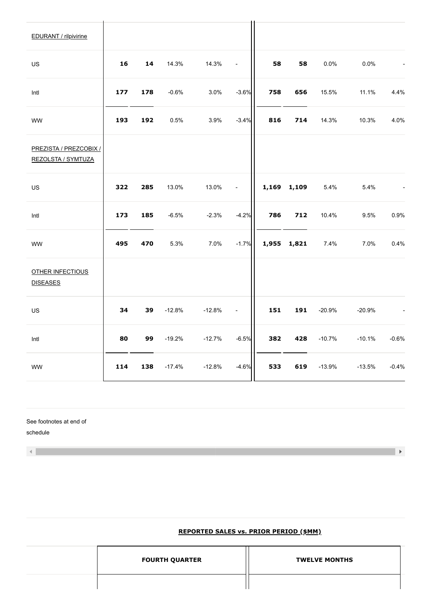| EDURANT / rilpivirine                        |     |     |          |          |                          |       |             |          |          |         |
|----------------------------------------------|-----|-----|----------|----------|--------------------------|-------|-------------|----------|----------|---------|
| US                                           | 16  | 14  | 14.3%    | 14.3%    | $\overline{a}$           | 58    | 58          | 0.0%     | 0.0%     |         |
| Intl                                         | 177 | 178 | $-0.6%$  | 3.0%     | $-3.6%$                  | 758   | 656         | 15.5%    | 11.1%    | 4.4%    |
| <b>WW</b>                                    | 193 | 192 | 0.5%     | 3.9%     | $-3.4%$                  | 816   | 714         | 14.3%    | 10.3%    | 4.0%    |
| PREZISTA / PREZCOBIX /<br>REZOLSTA / SYMTUZA |     |     |          |          |                          |       |             |          |          |         |
| US                                           | 322 | 285 | 13.0%    | 13.0%    | $\blacksquare$           |       | 1,169 1,109 | 5.4%     | 5.4%     |         |
| Intl                                         | 173 | 185 | $-6.5%$  | $-2.3%$  | $-4.2%$                  | 786   | 712         | 10.4%    | 9.5%     | 0.9%    |
| <b>WW</b>                                    | 495 | 470 | 5.3%     | 7.0%     | $-1.7%$                  | 1,955 | 1,821       | 7.4%     | 7.0%     | 0.4%    |
| <b>OTHER INFECTIOUS</b><br><b>DISEASES</b>   |     |     |          |          |                          |       |             |          |          |         |
| US                                           | 34  | 39  | $-12.8%$ | $-12.8%$ | $\overline{\phantom{a}}$ | 151   | 191         | $-20.9%$ | $-20.9%$ |         |
| Intl                                         | 80  | 99  | $-19.2%$ | $-12.7%$ | $-6.5%$                  | 382   | 428         | $-10.7%$ | $-10.1%$ | $-0.6%$ |
| <b>WW</b>                                    | 114 | 138 | $-17.4%$ | $-12.8%$ | $-4.6%$                  | 533   | 619         | $-13.9%$ | $-13.5%$ | $-0.4%$ |

#### See footnotes at end of

schedule

 $\left\| \cdot \right\|$ 

# **REPORTED SALES vs. PRIOR PERIOD (\$MM)**

 $\overline{\phantom{a}}$ 

| <b>FOURTH QUARTER</b> | <b>TWELVE MONTHS</b> |
|-----------------------|----------------------|
|                       |                      |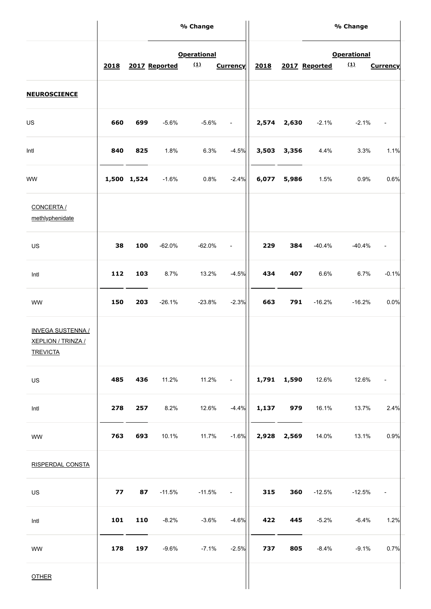|                                                                          |      |             |               | % Change           |                          | % Change |             |               |                    |                          |  |
|--------------------------------------------------------------------------|------|-------------|---------------|--------------------|--------------------------|----------|-------------|---------------|--------------------|--------------------------|--|
|                                                                          |      |             |               | <b>Operational</b> |                          |          |             |               | <b>Operational</b> |                          |  |
|                                                                          | 2018 |             | 2017 Reported | (1)                | <b>Currency</b>          | 2018     |             | 2017 Reported | (1)                | <b>Currency</b>          |  |
| <b>NEUROSCIENCE</b>                                                      |      |             |               |                    |                          |          |             |               |                    |                          |  |
| US                                                                       | 660  | 699         | $-5.6%$       | $-5.6%$            | $\blacksquare$           | 2,574    | 2,630       | $-2.1%$       | $-2.1%$            | ÷,                       |  |
| Intl                                                                     | 840  | 825         | 1.8%          | 6.3%               | $-4.5%$                  | 3,503    | 3,356       | 4.4%          | 3.3%               | 1.1%                     |  |
| <b>WW</b>                                                                |      | 1,500 1,524 | $-1.6%$       | 0.8%               | $-2.4%$                  | 6,077    | 5,986       | 1.5%          | 0.9%               | 0.6%                     |  |
| CONCERTA /<br>methlyphenidate                                            |      |             |               |                    |                          |          |             |               |                    |                          |  |
| US                                                                       | 38   | 100         | $-62.0%$      | $-62.0%$           | ÷,                       | 229      | 384         | $-40.4%$      | $-40.4%$           | ÷                        |  |
| Intl                                                                     | 112  | 103         | 8.7%          | 13.2%              | $-4.5%$                  | 434      | 407         | 6.6%          | 6.7%               | $-0.1%$                  |  |
| <b>WW</b>                                                                | 150  | 203         | $-26.1%$      | $-23.8%$           | $-2.3%$                  | 663      | 791         | $-16.2%$      | $-16.2%$           | 0.0%                     |  |
| <b>INVEGA SUSTENNA /</b><br><b>XEPLION / TRINZA /</b><br><b>TREVICTA</b> |      |             |               |                    |                          |          |             |               |                    |                          |  |
| US                                                                       | 485  | 436         | 11.2%         | 11.2%              | $\overline{\phantom{a}}$ |          | 1,791 1,590 | 12.6%         | 12.6%              | -                        |  |
| Intl                                                                     | 278  | 257         | 8.2%          | 12.6%              | $-4.4%$                  | 1,137    | 979         | 16.1%         | 13.7%              | 2.4%                     |  |
| <b>WW</b>                                                                | 763  | 693         | 10.1%         | 11.7%              | $-1.6%$                  | 2,928    | 2,569       | 14.0%         | 13.1%              | 0.9%                     |  |
| RISPERDAL CONSTA                                                         |      |             |               |                    |                          |          |             |               |                    |                          |  |
| US                                                                       | 77   | 87          | $-11.5%$      | $-11.5%$           | $\overline{\phantom{a}}$ | 315      | 360         | $-12.5%$      | $-12.5%$           | $\overline{\phantom{a}}$ |  |
| Intl                                                                     | 101  | 110         | $-8.2%$       | $-3.6%$            | $-4.6%$                  | 422      | 445         | $-5.2%$       | $-6.4%$            | 1.2%                     |  |
| WW                                                                       | 178  | 197         | $-9.6%$       | $-7.1%$            | $-2.5%$                  | 737      | 805         | $-8.4%$       | $-9.1%$            | 0.7%                     |  |
| <b>OTHER</b>                                                             |      |             |               |                    |                          |          |             |               |                    |                          |  |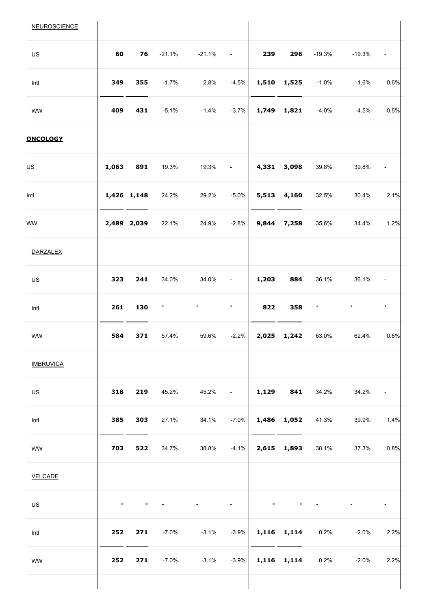| <b>NEUROSCIENCE</b> |       |             |          |          |                          |       |                 |          |          |                          |
|---------------------|-------|-------------|----------|----------|--------------------------|-------|-----------------|----------|----------|--------------------------|
| US                  | 60    | 76          | $-21.1%$ | $-21.1%$ | $\overline{\phantom{a}}$ | 239   | 296             | $-19.3%$ | $-19.3%$ |                          |
| Intl                | 349   | 355         | $-1.7%$  | 2.8%     | $-4.5%$                  | 1,510 | 1,525           | $-1.0%$  | $-1.6%$  | 0.6%                     |
| <b>WW</b>           | 409   | 431         | $-5.1%$  | $-1.4%$  | $-3.7%$                  | 1,749 | 1,821           | $-4.0%$  | $-4.5%$  | 0.5%                     |
| <b>ONCOLOGY</b>     |       |             |          |          |                          |       |                 |          |          |                          |
| US                  | 1,063 | 891         | 19.3%    | 19.3%    | $\blacksquare$           | 4,331 | 3,098           | 39.8%    | 39.8%    |                          |
| Intl                |       | 1,426 1,148 | 24.2%    | 29.2%    | $-5.0%$                  | 5,513 | 4,160           | 32.5%    | 30.4%    | 2.1%                     |
| WW                  |       | 2,489 2,039 | 22.1%    | 24.9%    | $-2.8%$                  | 9,844 | 7,258           | 35.6%    | 34.4%    | 1.2%                     |
| <b>DARZALEX</b>     |       |             |          |          |                          |       |                 |          |          |                          |
| US                  | 323   | 241         | 34.0%    | 34.0%    | $\overline{\phantom{a}}$ | 1,203 | 884             | 36.1%    | 36.1%    |                          |
| Intl                | 261   | 130         |          |          | $\star$                  | 822   | 358             | $\star$  | $\star$  | $\star$                  |
| WW                  | 584   | 371         | 57.4%    | 59.6%    | $-2.2%$                  | 2,025 | 1,242           | 63.0%    | 62.4%    | 0.6%                     |
| <b>IMBRUVICA</b>    |       |             |          |          |                          |       |                 |          |          |                          |
| US                  | 318   | 219         | 45.2%    | 45.2%    | $\sim$                   |       | 1,129 841       | 34.2%    | 34.2%    | $\overline{\phantom{a}}$ |
| Intl                | 385   | 303         | 27.1%    | 34.1%    | $-7.0%$                  |       | 1,486 1,052     | 41.3%    | 39.9%    | 1.4%                     |
| <b>WW</b>           | 703   | 522         | 34.7%    | 38.8%    | $-4.1%$                  |       | 2,615 1,893     | 38.1%    | 37.3%    | 0.8%                     |
| <b>VELCADE</b>      |       |             |          |          |                          |       |                 |          |          |                          |
| US                  |       |             |          |          | $\overline{\phantom{a}}$ |       |                 |          |          |                          |
| Intl                | 252   | 271         | $-7.0%$  | $-3.1%$  | $-3.9%$                  |       | 1,116 1,114     | 0.2%     | $-2.0%$  | 2.2%                     |
| <b>WW</b>           | 252   | 271         | $-7.0%$  | $-3.1%$  | $-3.9%$                  |       | $1,116$ $1,114$ | 0.2%     | $-2.0%$  | 2.2%                     |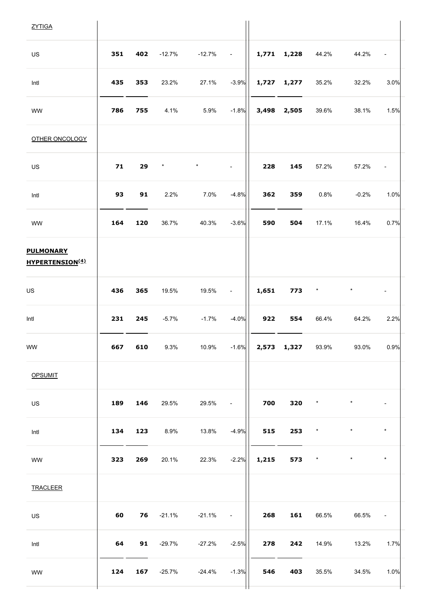| <b>ZYTIGA</b>                              |     |     |          |          |                          |       |                   |         |         |                          |
|--------------------------------------------|-----|-----|----------|----------|--------------------------|-------|-------------------|---------|---------|--------------------------|
| US                                         | 351 | 402 | $-12.7%$ | $-12.7%$ | $\sim 100$               |       | 1,771 1,228       | 44.2%   | 44.2%   |                          |
| Intl                                       | 435 | 353 | 23.2%    | 27.1%    | $-3.9%$                  |       | 1,727 1,277       | 35.2%   | 32.2%   | 3.0%                     |
| <b>WW</b>                                  | 786 | 755 | 4.1%     | 5.9%     | $-1.8%$                  |       | 3,498 2,505       | 39.6%   | 38.1%   | 1.5%                     |
| OTHER ONCOLOGY                             |     |     |          |          |                          |       |                   |         |         |                          |
| <b>US</b>                                  | 71  | 29  | $\star$  | $\star$  | $\overline{\phantom{0}}$ | 228   | 145               | 57.2%   | 57.2%   | $\overline{a}$           |
| Intl                                       | 93  | 91  | 2.2%     | 7.0%     | $-4.8%$                  | 362   | 359               | 0.8%    | $-0.2%$ | 1.0%                     |
| <b>WW</b>                                  | 164 | 120 | 36.7%    | 40.3%    | $-3.6%$                  | 590   | 504               | 17.1%   | 16.4%   | 0.7%                     |
| <b>PULMONARY</b><br><b>HYPERTENSION(4)</b> |     |     |          |          |                          |       |                   |         |         |                          |
| US                                         | 436 | 365 | 19.5%    | 19.5%    | $\overline{\phantom{a}}$ | 1,651 | 773               | $\star$ | $\star$ |                          |
| Intl                                       | 231 | 245 | $-5.7\%$ | $-1.7%$  | $-4.0%$                  | 922   | 554               | 66.4%   | 64.2%   | 2.2%                     |
| WW                                         | 667 | 610 | 9.3%     | 10.9%    | $-1.6%$                  |       | 2,573 1,327 93.9% |         | 93.0%   | 0.9%                     |
| <b>OPSUMIT</b>                             |     |     |          |          |                          |       |                   |         |         |                          |
| US                                         | 189 | 146 | 29.5%    | 29.5%    | $\overline{\phantom{a}}$ | 700   | 320               | $\star$ | $\star$ |                          |
| Intl                                       | 134 | 123 | 8.9%     | 13.8%    | $-4.9%$                  | 515   | 253               | $\star$ | $\star$ | $\star$                  |
| <b>WW</b>                                  | 323 | 269 | 20.1%    | 22.3%    | $-2.2%$                  | 1,215 | 573               | $\star$ | $\star$ | $\star$                  |
| <b>TRACLEER</b>                            |     |     |          |          |                          |       |                   |         |         |                          |
| US                                         | 60  | 76  | $-21.1%$ | $-21.1%$ | $\overline{\phantom{a}}$ | 268   | 161               | 66.5%   | 66.5%   | $\overline{\phantom{a}}$ |
| Intl                                       | 64  | 91  | $-29.7%$ | $-27.2%$ | $-2.5%$                  | 278   | 242               | 14.9%   | 13.2%   | 1.7%                     |
| <b>WW</b>                                  | 124 | 167 | $-25.7%$ | $-24.4%$ | $-1.3%$                  | 546   | 403               | 35.5%   | 34.5%   | 1.0%                     |
|                                            |     |     |          |          |                          |       |                   |         |         |                          |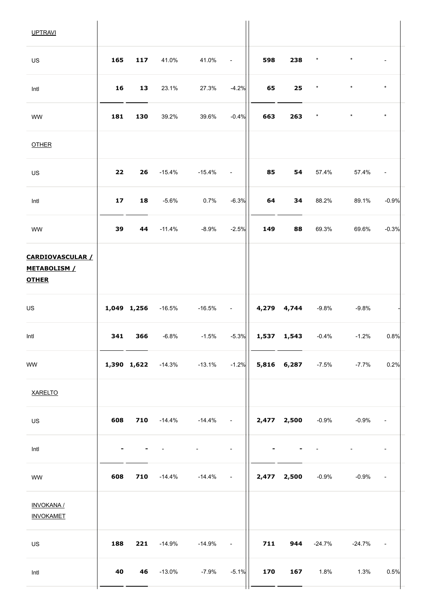| <b>UPTRAVI</b>                                                 |     |             |                    |          |                          |     |             |          |          |                          |
|----------------------------------------------------------------|-----|-------------|--------------------|----------|--------------------------|-----|-------------|----------|----------|--------------------------|
| US                                                             | 165 | 117         | 41.0%              | 41.0%    | $\overline{\phantom{a}}$ | 598 | 238         | $\star$  | $\star$  |                          |
| Intl                                                           | 16  | 13          | 23.1%              | 27.3%    | $-4.2%$                  | 65  | 25          | $\star$  | $\star$  | $\star$                  |
| WW                                                             | 181 | 130         | 39.2%              | 39.6%    | $-0.4%$                  | 663 | 263         | $\star$  | $\star$  | $\star$                  |
| <b>OTHER</b>                                                   |     |             |                    |          |                          |     |             |          |          |                          |
| US                                                             | 22  | 26          | $-15.4%$           | $-15.4%$ | $\overline{\phantom{a}}$ | 85  | 54          | 57.4%    | 57.4%    | $\overline{\phantom{0}}$ |
| Intl                                                           | 17  | 18          | $-5.6%$            | 0.7%     | $-6.3%$                  | 64  | 34          | 88.2%    | 89.1%    | $-0.9%$                  |
| WW                                                             | 39  | 44          | $-11.4%$           | $-8.9%$  | $-2.5%$                  | 149 | 88          | 69.3%    | 69.6%    | $-0.3%$                  |
| <b>CARDIOVASCULAR /</b><br><b>METABOLISM /</b><br><b>OTHER</b> |     |             |                    |          |                          |     |             |          |          |                          |
| US                                                             |     | 1,049 1,256 | $-16.5%$           | $-16.5%$ | $\overline{\phantom{a}}$ |     | 4,279 4,744 | $-9.8%$  | $-9.8%$  |                          |
| Intl                                                           | 341 | 366         | $-6.8%$            | $-1.5%$  | $-5.3%$                  |     | 1,537 1,543 | $-0.4%$  | $-1.2%$  | 0.8%                     |
| <b>WW</b>                                                      |     |             | 1,390 1,622 -14.3% | $-13.1%$ | $-1.2%$                  |     | 5,816 6,287 | $-7.5%$  | $-7.7%$  | 0.2%                     |
| <b>XARELTO</b>                                                 |     |             |                    |          |                          |     |             |          |          |                          |
| US                                                             | 608 | 710         | $-14.4%$           | $-14.4%$ | $\overline{\phantom{a}}$ |     | 2,477 2,500 | $-0.9%$  | $-0.9%$  |                          |
| Intl                                                           |     |             |                    |          | $\overline{\phantom{a}}$ |     |             |          |          |                          |
| <b>WW</b>                                                      | 608 | 710         | $-14.4%$           | $-14.4%$ | $\overline{\phantom{a}}$ |     | 2,477 2,500 | $-0.9%$  | $-0.9%$  | $\overline{\phantom{a}}$ |
| <b>INVOKANA/</b><br><b>INVOKAMET</b>                           |     |             |                    |          |                          |     |             |          |          |                          |
| US                                                             | 188 | 221         | $-14.9%$           | $-14.9%$ | $\blacksquare$           | 711 | 944         | $-24.7%$ | $-24.7%$ | $\overline{\phantom{a}}$ |
| Intl                                                           | 40  | 46          | $-13.0%$           | $-7.9%$  | $-5.1%$                  | 170 | 167         | 1.8%     | 1.3%     | 0.5%                     |
|                                                                |     |             |                    |          |                          |     |             |          |          |                          |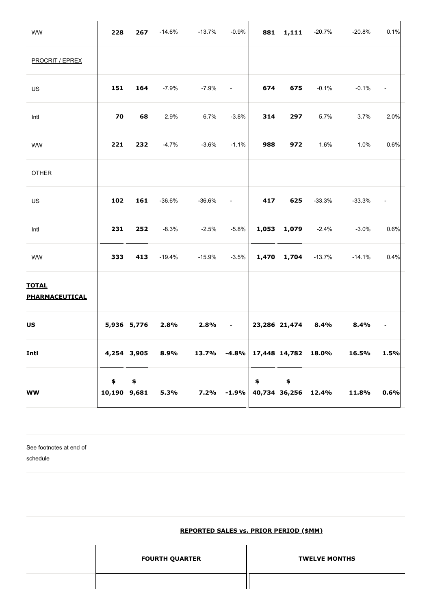| WW                             | 228 | 267                | $-14.6%$ | $-13.7%$                                         | $-0.9%$                      |     |               | <b>881 1,111</b> -20.7%      | $-20.8%$ | 0.1% |
|--------------------------------|-----|--------------------|----------|--------------------------------------------------|------------------------------|-----|---------------|------------------------------|----------|------|
| <b>PROCRIT / EPREX</b>         |     |                    |          |                                                  |                              |     |               |                              |          |      |
| US                             | 151 | 164                | $-7.9%$  | $-7.9%$                                          | $\qquad \qquad \blacksquare$ | 674 | 675           | $-0.1%$                      | $-0.1%$  | ÷    |
| Intl                           | 70  | 68                 | 2.9%     | 6.7%                                             | $-3.8%$                      | 314 | 297           | 5.7%                         | 3.7%     | 2.0% |
| <b>WW</b>                      | 221 | 232                | $-4.7%$  | $-3.6%$                                          | $-1.1%$                      | 988 | 972           | 1.6%                         | 1.0%     | 0.6% |
| <b>OTHER</b>                   |     |                    |          |                                                  |                              |     |               |                              |          |      |
| US                             | 102 | 161                | $-36.6%$ | $-36.6%$                                         | $\overline{\phantom{a}}$     | 417 | 625           | $-33.3%$                     | $-33.3%$ |      |
| Intl                           | 231 | 252                | $-8.3%$  | $-2.5%$                                          | $-5.8%$                      |     | 1,053 1,079   | $-2.4%$                      | $-3.0%$  | 0.6% |
| <b>WW</b>                      | 333 | 413                | $-19.4%$ | $-15.9%$                                         | $-3.5%$                      |     | 1,470 1,704   | $-13.7%$                     | $-14.1%$ | 0.4% |
| <b>TOTAL</b><br>PHARMACEUTICAL |     |                    |          |                                                  |                              |     |               |                              |          |      |
| <b>US</b>                      |     | 5,936 5,776        | 2.8%     | 2.8%                                             |                              |     | 23,286 21,474 | 8.4%                         | 8.4%     |      |
| Intl                           |     |                    |          | 4,254 3,905 8.9% 13.7% -4.8% 17,448 14,782 18.0% |                              |     |               |                              | 16.5%    | 1.5% |
| ww                             | \$  | \$<br>10,190 9,681 | 5.3%     | 7.2%                                             |                              | \$  | \$            | $-1.9\%$ 40,734 36,256 12.4% | 11.8%    | 0.6% |

See footnotes at end of schedule

**REPORTED SALES vs. PRIOR PERIOD (\$MM)**

| <b>FOURTH QUARTER</b> | <b>TWELVE MONTHS</b> |
|-----------------------|----------------------|
|                       | . .                  |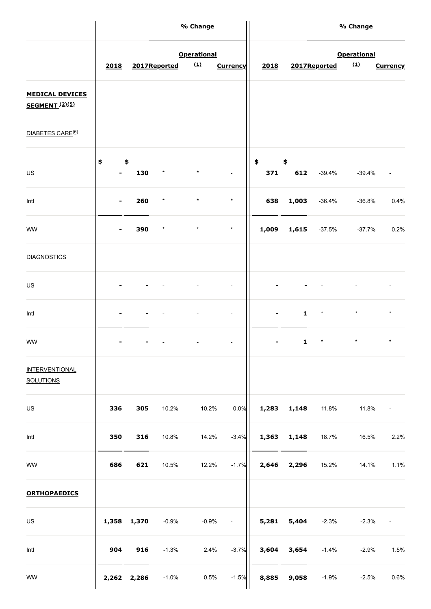|                                                       | % Change |                   |                          |                           |                          |           | % Change          |                          |                           |                          |  |  |  |
|-------------------------------------------------------|----------|-------------------|--------------------------|---------------------------|--------------------------|-----------|-------------------|--------------------------|---------------------------|--------------------------|--|--|--|
|                                                       | 2018     |                   | 2017Reported             | <b>Operational</b><br>(1) | <b>Currency</b>          | 2018      |                   | 2017Reported             | <b>Operational</b><br>(1) | <b>Currency</b>          |  |  |  |
|                                                       |          |                   |                          |                           |                          |           |                   |                          |                           |                          |  |  |  |
| <b>MEDICAL DEVICES</b><br>$SEGMENT$ <sup>(2)(5)</sup> |          |                   |                          |                           |                          |           |                   |                          |                           |                          |  |  |  |
| DIABETES CARE <sup>(6)</sup>                          |          |                   |                          |                           |                          |           |                   |                          |                           |                          |  |  |  |
| US                                                    | \$       | \$<br>130         |                          |                           | $\overline{\phantom{a}}$ | \$<br>371 | \$<br>612         | $-39.4%$                 | $-39.4%$                  |                          |  |  |  |
| Intl                                                  |          | 260               | $\star$                  |                           | $\star$                  | 638       | 1,003             | $-36.4%$                 | $-36.8%$                  | 0.4%                     |  |  |  |
| <b>WW</b>                                             |          | 390               | $\star$                  |                           | $\star$                  | 1,009     | 1,615             | $-37.5%$                 | $-37.7%$                  | 0.2%                     |  |  |  |
| <b>DIAGNOSTICS</b>                                    |          |                   |                          |                           |                          |           |                   |                          |                           |                          |  |  |  |
| US                                                    |          |                   |                          |                           | ÷,                       |           |                   |                          |                           |                          |  |  |  |
| Intl                                                  |          |                   |                          |                           |                          |           | $\mathbf{1}$      | $\ast$                   |                           |                          |  |  |  |
| <b>WW</b>                                             | ٠        |                   |                          |                           |                          |           | 1                 | $^\star$                 | $^\star$                  | $\star$                  |  |  |  |
| <b>INTERVENTIONAL</b><br><b>SOLUTIONS</b>             |          |                   |                          |                           |                          |           |                   |                          |                           |                          |  |  |  |
| US                                                    | 336      | 305               | 10.2%                    | 10.2%                     | 0.0%                     |           | 1,283 1,148 11.8% |                          | 11.8%                     | $\overline{\phantom{a}}$ |  |  |  |
| Intl                                                  | 350      | 316               | 10.8%                    | 14.2%                     | $-3.4%$                  | 1,363     | 1,148             | 18.7%                    | 16.5%                     | 2.2%                     |  |  |  |
| WW                                                    | 686      | 621               | 10.5%                    | 12.2%                     | $-1.7%$                  |           | 2,646 2,296       | 15.2%                    | 14.1%                     | 1.1%                     |  |  |  |
| <b>ORTHOPAEDICS</b>                                   |          |                   |                          |                           |                          |           |                   |                          |                           |                          |  |  |  |
| US                                                    |          | 1,358 1,370 -0.9% |                          | $-0.9%$                   | $\omega$                 | 5,281     | 5,404             | $-2.3%$                  | $-2.3%$                   | $\overline{\phantom{a}}$ |  |  |  |
| Intl                                                  | 904      | 916               | $-1.3%$                  | 2.4%                      | $-3.7%$                  | 3,604     | 3,654             | $-1.4%$                  | $-2.9%$                   | 1.5%                     |  |  |  |
| <b>WW</b>                                             |          |                   | <b>2,262 2,286</b> -1.0% | 0.5%                      | $-1.5%$                  |           |                   | <b>8,885 9,058</b> -1.9% | $-2.5%$                   | 0.6%                     |  |  |  |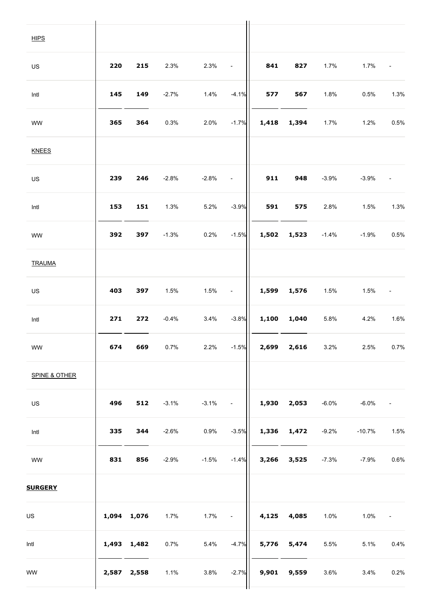| <b>HIPS</b>    |     |             |         |         |                          |       |             |         |          |                          |
|----------------|-----|-------------|---------|---------|--------------------------|-------|-------------|---------|----------|--------------------------|
| US             | 220 | 215         | 2.3%    | 2.3%    | $\overline{\phantom{a}}$ | 841   | 827         | 1.7%    | 1.7%     | -                        |
| Intl           | 145 | 149         | $-2.7%$ | 1.4%    | $-4.1%$                  | 577   | 567         | 1.8%    | 0.5%     | 1.3%                     |
| WW             | 365 | 364         | 0.3%    | 2.0%    | $-1.7%$                  | 1,418 | 1,394       | 1.7%    | 1.2%     | 0.5%                     |
| <b>KNEES</b>   |     |             |         |         |                          |       |             |         |          |                          |
| US             | 239 | 246         | $-2.8%$ | $-2.8%$ | $\blacksquare$           | 911   | 948         | $-3.9%$ | $-3.9%$  | $\overline{a}$           |
| Intl           | 153 | 151         | 1.3%    | 5.2%    | $-3.9%$                  | 591   | 575         | 2.8%    | 1.5%     | 1.3%                     |
| <b>WW</b>      | 392 | 397         | $-1.3%$ | 0.2%    | $-1.5%$                  | 1,502 | 1,523       | $-1.4%$ | $-1.9%$  | 0.5%                     |
| <b>TRAUMA</b>  |     |             |         |         |                          |       |             |         |          |                          |
| US             | 403 | 397         | 1.5%    | 1.5%    | $\omega_{\rm c}$         | 1,599 | 1,576       | 1.5%    | 1.5%     | $\overline{a}$           |
| Intl           | 271 | 272         | $-0.4%$ | 3.4%    | $-3.8%$                  | 1,100 | 1,040       | 5.8%    | 4.2%     | 1.6%                     |
| <b>WW</b>      | 674 | 669         | 0.7%    | 2.2%    | $-1.5%$                  |       | 2,699 2,616 | 3.2%    | 2.5%     | 0.7%                     |
| SPINE & OTHER  |     |             |         |         |                          |       |             |         |          |                          |
| US             | 496 | 512         | $-3.1%$ | $-3.1%$ | $\blacksquare$           | 1,930 | 2,053       | $-6.0%$ | $-6.0%$  | $\overline{\phantom{a}}$ |
| Intl           | 335 | 344         | $-2.6%$ | 0.9%    | $-3.5%$                  |       | 1,336 1,472 | $-9.2%$ | $-10.7%$ | 1.5%                     |
| <b>WW</b>      | 831 | 856         | $-2.9%$ | $-1.5%$ | $-1.4%$                  | 3,266 | 3,525       | $-7.3%$ | $-7.9%$  | 0.6%                     |
| <b>SURGERY</b> |     |             |         |         |                          |       |             |         |          |                          |
| US             |     | 1,094 1,076 | 1.7%    | 1.7%    | $\blacksquare$           |       | 4,125 4,085 | 1.0%    | 1.0%     | $\overline{\phantom{a}}$ |
| Intl           |     | 1,493 1,482 | 0.7%    | 5.4%    | $-4.7%$                  |       | 5,776 5,474 | 5.5%    | 5.1%     | 0.4%                     |
| WW             |     | 2,587 2,558 | 1.1%    | 3.8%    | $-2.7%$                  | 9,901 | 9,559       | 3.6%    | 3.4%     | 0.2%                     |
|                |     |             |         |         |                          |       |             |         |          |                          |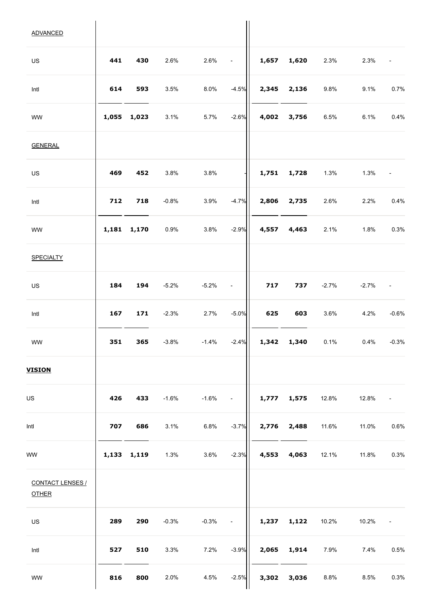| <b>ADVANCED</b>                         |       |             |                  |         |                          |       |             |         |         |                              |
|-----------------------------------------|-------|-------------|------------------|---------|--------------------------|-------|-------------|---------|---------|------------------------------|
| US                                      | 441   | 430         | 2.6%             | 2.6%    | $\overline{\phantom{a}}$ | 1,657 | 1,620       | 2.3%    | 2.3%    | $\overline{\phantom{a}}$     |
| Intl                                    | 614   | 593         | 3.5%             | 8.0%    | $-4.5%$                  | 2,345 | 2,136       | 9.8%    | 9.1%    | 0.7%                         |
| WW                                      | 1,055 | 1,023       | 3.1%             | 5.7%    | $-2.6%$                  | 4,002 | 3,756       | 6.5%    | 6.1%    | 0.4%                         |
| <b>GENERAL</b>                          |       |             |                  |         |                          |       |             |         |         |                              |
| US                                      | 469   | 452         | 3.8%             | 3.8%    |                          | 1,751 | 1,728       | 1.3%    | 1.3%    | $\overline{\phantom{a}}$     |
| Intl                                    | 712   | 718         | $-0.8%$          | 3.9%    | $-4.7%$                  | 2,806 | 2,735       | 2.6%    | 2.2%    | 0.4%                         |
| WW                                      |       | 1,181 1,170 | 0.9%             | 3.8%    | $-2.9%$                  | 4,557 | 4,463       | 2.1%    | 1.8%    | 0.3%                         |
| <b>SPECIALTY</b>                        |       |             |                  |         |                          |       |             |         |         |                              |
| US                                      | 184   | 194         | $-5.2%$          | $-5.2%$ | $\overline{\phantom{a}}$ | 717   | 737         | $-2.7%$ | $-2.7%$ | $\overline{\phantom{a}}$     |
| Intl                                    | 167   | 171         | $-2.3%$          | 2.7%    | $-5.0%$                  | 625   | 603         | 3.6%    | 4.2%    | $-0.6%$                      |
| WW                                      | 351   | 365         | $-3.8%$          | $-1.4%$ | $-2.4%$                  | 1,342 | 1,340       | 0.1%    | 0.4%    | $-0.3%$                      |
| <b>VISION</b>                           |       |             |                  |         |                          |       |             |         |         |                              |
| US                                      | 426   | 433         | $-1.6%$          | $-1.6%$ | $\sim$                   | 1,777 | 1,575       | 12.8%   | 12.8%   |                              |
| Intl                                    | 707   | 686         | 3.1%             | 6.8%    | $-3.7%$                  |       | 2,776 2,488 | 11.6%   | 11.0%   | 0.6%                         |
| WW                                      |       |             | 1,133 1,119 1.3% | 3.6%    | $-2.3%$                  | 4,553 | 4,063       | 12.1%   | 11.8%   | 0.3%                         |
| <b>CONTACT LENSES /</b><br><b>OTHER</b> |       |             |                  |         |                          |       |             |         |         |                              |
| US                                      | 289   | 290         | $-0.3%$          | $-0.3%$ | $\overline{\phantom{a}}$ |       | 1,237 1,122 | 10.2%   | 10.2%   | $\qquad \qquad \blacksquare$ |
| Intl                                    | 527   | 510         | 3.3%             | 7.2%    | $-3.9%$                  |       | 2,065 1,914 | 7.9%    | 7.4%    | 0.5%                         |
| WW                                      | 816   | 800         | 2.0%             | 4.5%    | $-2.5%$                  | 3,302 | 3,036       | 8.8%    | 8.5%    | 0.3%                         |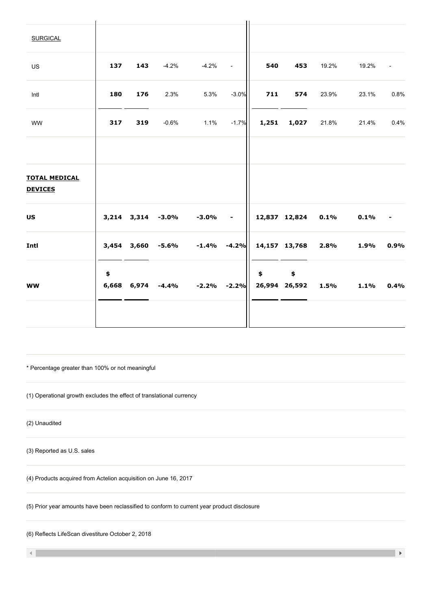| <b>SURGICAL</b>                        |     |     |                   |           |                          |       |               |                    |       |                          |
|----------------------------------------|-----|-----|-------------------|-----------|--------------------------|-------|---------------|--------------------|-------|--------------------------|
| US                                     | 137 | 143 | $-4.2%$           | $-4.2%$   | $\overline{\phantom{a}}$ | 540   | 453           | 19.2%              | 19.2% | $\overline{\phantom{a}}$ |
| Intl                                   | 180 | 176 | 2.3%              | 5.3%      | $-3.0%$                  | 711   | 574           | 23.9%              | 23.1% | 0.8%                     |
| <b>WW</b>                              | 317 | 319 | $-0.6%$           | 1.1%      | $-1.7%$                  | 1,251 | 1,027         | 21.8%              | 21.4% | 0.4%                     |
| <b>TOTAL MEDICAL</b><br><b>DEVICES</b> |     |     |                   |           |                          |       |               |                    |       |                          |
| <b>US</b>                              |     |     | 3,214 3,314 -3.0% | $-3.0%$ - |                          |       | 12,837 12,824 | $0.1\%$            | 0.1%  | -                        |
| Intl                                   |     |     | 3,454 3,660 -5.6% |           | $-1.4\% -4.2\%$          |       | 14,157 13,768 | 2.8%               | 1.9%  | 0.9%                     |
| <b>WW</b>                              | \$  |     | 6,668 6,974 -4.4% |           | $-2.2\% -2.2\%$          | \$    | \$            | 26,994 26,592 1.5% | 1.1%  | 0.4%                     |
|                                        |     |     |                   |           |                          |       |               |                    |       |                          |

\* Percentage greater than 100% or not meaningful

(1) Operational growth excludes the effect of translational currency

(2) Unaudited

(3) Reported as U.S. sales

(4) Products acquired from Actelion acquisition on June 16, 2017

(5) Prior year amounts have been reclassified to conform to current year product disclosure

(6) Reflects LifeScan divestiture October 2, 2018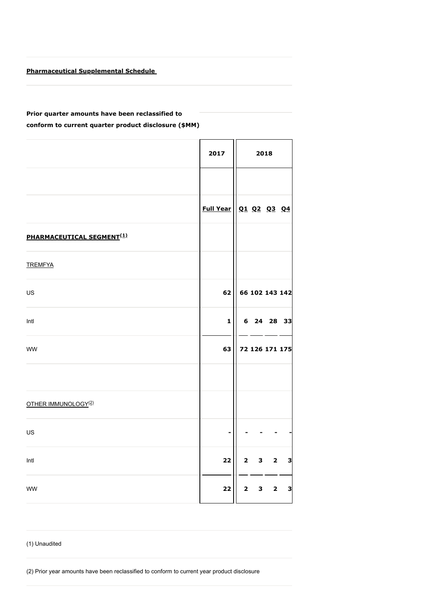**Pharmaceutical Supplemental Schedule**

# **Prior quarter amounts have been reclassified to conform to current quarter product disclosure (\$MM)**

|                                       | 2017             | 2018                    |                    |                         |                |
|---------------------------------------|------------------|-------------------------|--------------------|-------------------------|----------------|
| PHARMACEUTICAL SEGMENT <sup>(1)</sup> | <b>Full Year</b> |                         | <u>Q1 Q2 Q3 Q4</u> |                         |                |
| <b>TREMFYA</b>                        |                  |                         |                    |                         |                |
| US                                    | 62               |                         |                    |                         | 66 102 143 142 |
| Intl                                  | 1                |                         |                    |                         | 6 24 28 33     |
| <b>WW</b>                             | 63               |                         |                    |                         | 72 126 171 175 |
|                                       |                  |                         |                    |                         |                |
| OTHER IMMUNOLOGY <sup>(2)</sup>       |                  |                         |                    |                         |                |
| US                                    |                  |                         |                    |                         |                |
| Intl                                  | 22               | $\overline{\mathbf{2}}$ | $\mathbf{3}$       | $\mathbf{2}$            | 3              |
| <b>WW</b>                             | 22               | $\mathbf{2}$            | з                  | $\overline{\mathbf{2}}$ | 3              |

#### (1) Unaudited

(2) Prior year amounts have been reclassified to conform to current year product disclosure